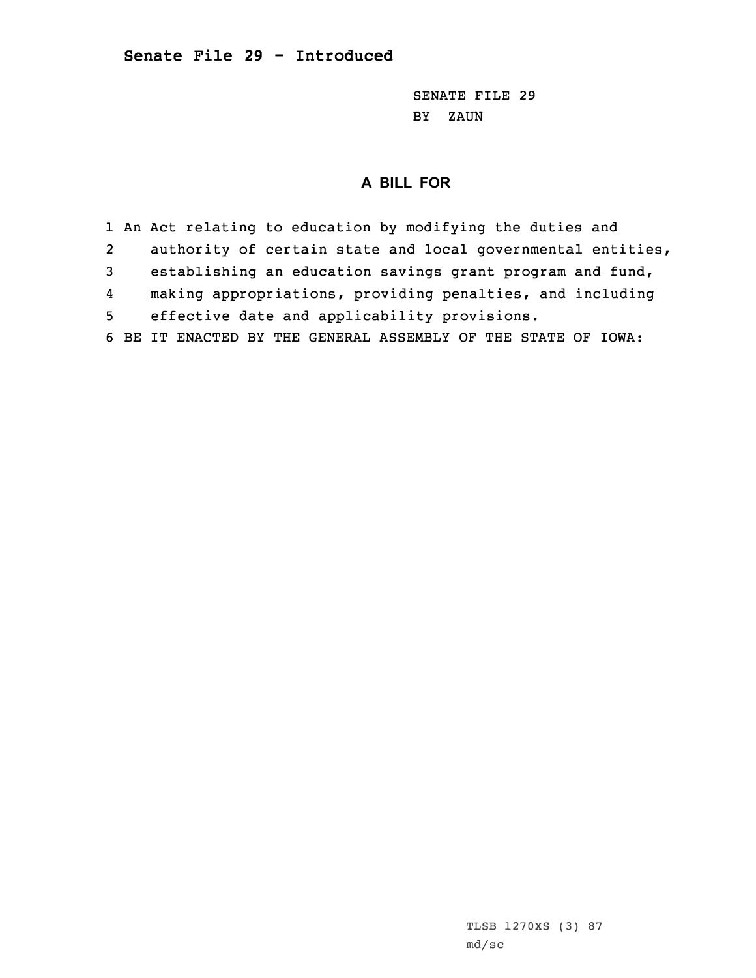SENATE FILE 29 BY ZAUN

# **A BILL FOR**

1 An Act relating to education by modifying the duties and 2 authority of certain state and local governmental entities, 3 establishing an education savings grant program and fund, 4 making appropriations, providing penalties, and including 5 effective date and applicability provisions. 6 BE IT ENACTED BY THE GENERAL ASSEMBLY OF THE STATE OF IOWA: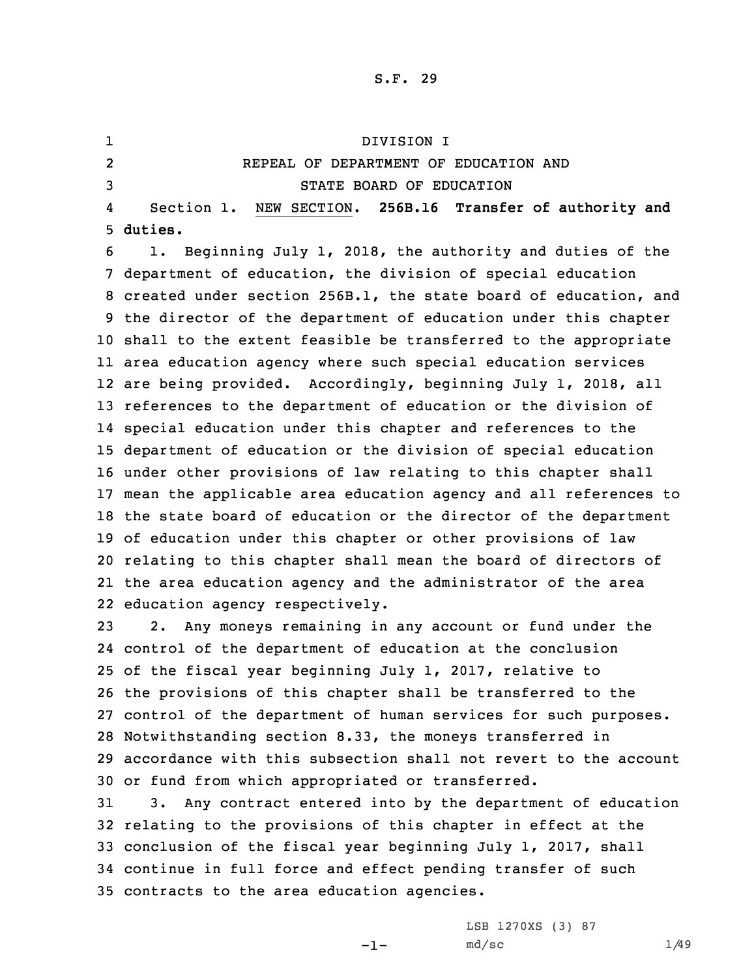1 DIVISION I 2 REPEAL OF DEPARTMENT OF EDUCATION AND 3 STATE BOARD OF EDUCATION 4 Section 1. NEW SECTION. **256B.16 Transfer of authority and** 5 **duties.**

 1. Beginning July 1, 2018, the authority and duties of the department of education, the division of special education created under section 256B.1, the state board of education, and the director of the department of education under this chapter shall to the extent feasible be transferred to the appropriate area education agency where such special education services are being provided. Accordingly, beginning July 1, 2018, all references to the department of education or the division of special education under this chapter and references to the department of education or the division of special education under other provisions of law relating to this chapter shall mean the applicable area education agency and all references to the state board of education or the director of the department of education under this chapter or other provisions of law relating to this chapter shall mean the board of directors of the area education agency and the administrator of the area education agency respectively.

 2. Any moneys remaining in any account or fund under the control of the department of education at the conclusion of the fiscal year beginning July 1, 2017, relative to the provisions of this chapter shall be transferred to the control of the department of human services for such purposes. Notwithstanding section 8.33, the moneys transferred in accordance with this subsection shall not revert to the account or fund from which appropriated or transferred.

 3. Any contract entered into by the department of education relating to the provisions of this chapter in effect at the conclusion of the fiscal year beginning July 1, 2017, shall continue in full force and effect pending transfer of such contracts to the area education agencies.

-1-

LSB 1270XS (3) 87  $md/sec$  1/49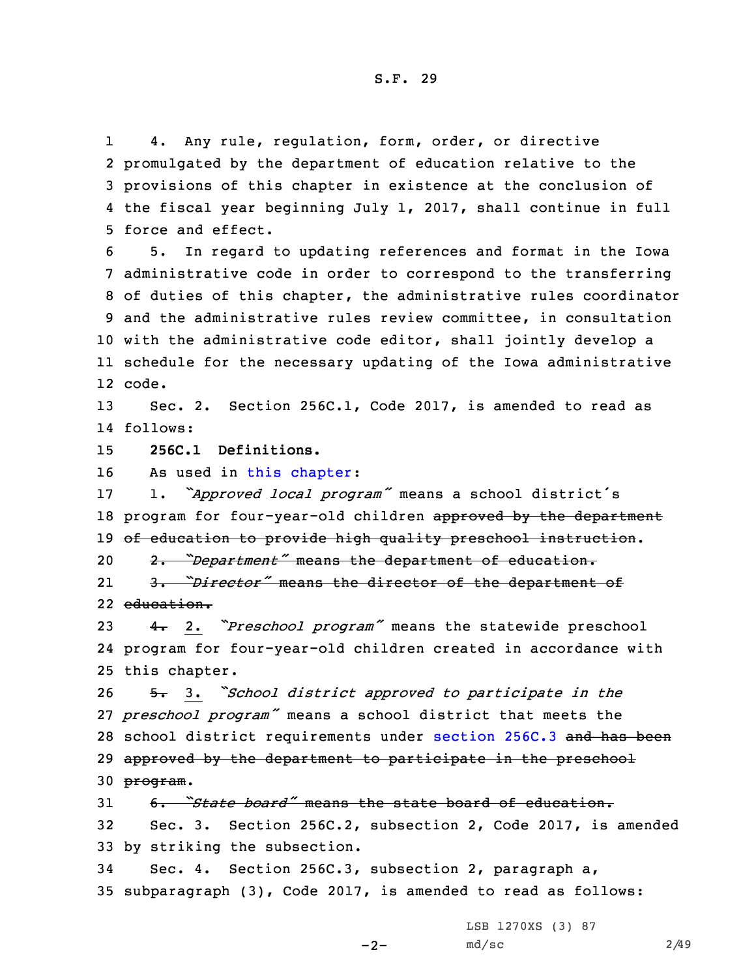1 4. Any rule, regulation, form, order, or directive promulgated by the department of education relative to the provisions of this chapter in existence at the conclusion of the fiscal year beginning July 1, 2017, shall continue in full force and effect.

 5. In regard to updating references and format in the Iowa administrative code in order to correspond to the transferring of duties of this chapter, the administrative rules coordinator and the administrative rules review committee, in consultation with the administrative code editor, shall jointly develop <sup>a</sup> schedule for the necessary updating of the Iowa administrative 12 code.

13 Sec. 2. Section 256C.1, Code 2017, is amended to read as 14 follows:

15 **256C.1 Definitions.**

16 As used in this [chapter](https://www.legis.iowa.gov/docs/code/2017/256C.pdf):

<sup>17</sup> 1. *"Approved local program"* means <sup>a</sup> school district's 18 program for four-year-old children approved by the department 19 of education to provide high quality preschool instruction.

<sup>20</sup> 2. *"Department"* means the department of education.

21 3. *"Director"* means the director of the department of 22 education.

<sup>23</sup> 4. 2. *"Preschool program"* means the statewide preschool 24 program for four-year-old children created in accordance with 25 this chapter.

<sup>26</sup> 5. 3. *"School district approved to participate in the* 27 *preschool program"* means <sup>a</sup> school district that meets the 28 school district requirements under [section](https://www.legis.iowa.gov/docs/code/2017/256C.3.pdf) 256C.3 and has been 29 approved by the department to participate in the preschool 30 program.

31 6. *"State board"* means the state board of education. 32 Sec. 3. Section 256C.2, subsection 2, Code 2017, is amended 33 by striking the subsection.

34 Sec. 4. Section 256C.3, subsection 2, paragraph a, 35 subparagraph (3), Code 2017, is amended to read as follows:

 $-2-$ 

LSB 1270XS (3) 87 md/sc 2/49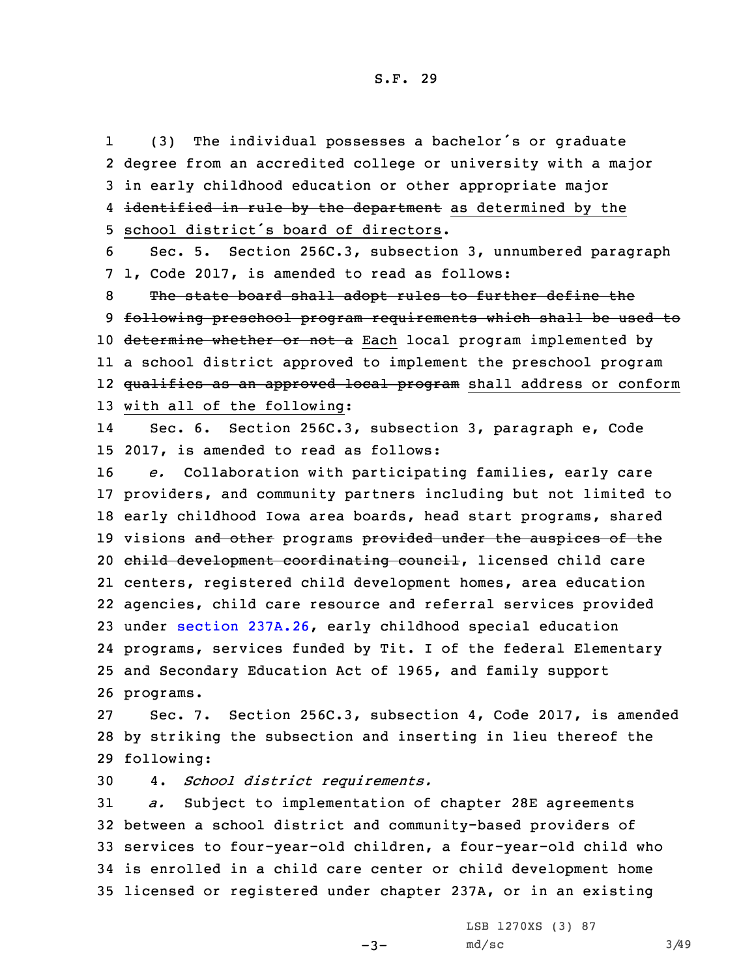1 (3) The individual possesses <sup>a</sup> bachelor's or graduate 2 degree from an accredited college or university with <sup>a</sup> major 3 in early childhood education or other appropriate major 4 <del>identified in rule by the department</del> as determined by the 5 school district's board of directors.

6 Sec. 5. Section 256C.3, subsection 3, unnumbered paragraph 7 1, Code 2017, is amended to read as follows:

8 The state board shall adopt rules to further define the 9 following preschool program requirements which shall be used to 10 determine whether or not a Each local program implemented by 11 <sup>a</sup> school district approved to implement the preschool program 12 <del>qualifies as an approved local program</del> shall address or conform 13 with all of the following:

14 Sec. 6. Section 256C.3, subsection 3, paragraph e, Code 15 2017, is amended to read as follows:

 *e.* Collaboration with participating families, early care providers, and community partners including but not limited to early childhood Iowa area boards, head start programs, shared 19 visions and other programs provided under the auspices of the 20 child development coordinating council, licensed child care centers, registered child development homes, area education agencies, child care resource and referral services provided under section [237A.26](https://www.legis.iowa.gov/docs/code/2017/237A.26.pdf), early childhood special education programs, services funded by Tit. <sup>I</sup> of the federal Elementary and Secondary Education Act of 1965, and family support programs.

27 Sec. 7. Section 256C.3, subsection 4, Code 2017, is amended 28 by striking the subsection and inserting in lieu thereof the 29 following:

30 4. *School district requirements.*

 *a.* Subject to implementation of chapter 28E agreements between <sup>a</sup> school district and community-based providers of services to four-year-old children, <sup>a</sup> four-year-old child who is enrolled in <sup>a</sup> child care center or child development home licensed or registered under chapter 237A, or in an existing

 $-3-$ 

LSB 1270XS (3) 87 md/sc 3/49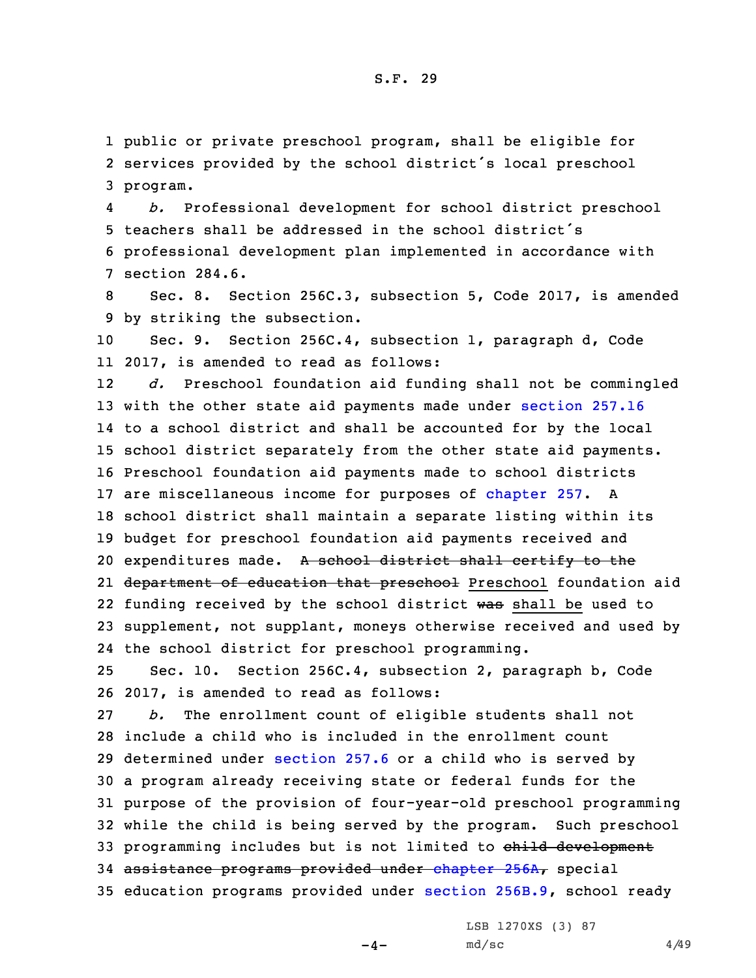1 public or private preschool program, shall be eligible for 2 services provided by the school district's local preschool 3 program.

4 *b.* Professional development for school district preschool 5 teachers shall be addressed in the school district's 6 professional development plan implemented in accordance with 7 section 284.6.

8 Sec. 8. Section 256C.3, subsection 5, Code 2017, is amended 9 by striking the subsection.

10 Sec. 9. Section 256C.4, subsection 1, paragraph d, Code 11 2017, is amended to read as follows:

12 *d.* Preschool foundation aid funding shall not be commingled with the other state aid payments made under [section](https://www.legis.iowa.gov/docs/code/2017/257.16.pdf) 257.16 to <sup>a</sup> school district and shall be accounted for by the local school district separately from the other state aid payments. Preschool foundation aid payments made to school districts are miscellaneous income for purposes of [chapter](https://www.legis.iowa.gov/docs/code/2017/257.pdf) 257. <sup>A</sup> school district shall maintain <sup>a</sup> separate listing within its budget for preschool foundation aid payments received and 20 expenditures made. A school district shall certify to the 21 <del>department of education that preschool</del> Preschool foundation aid 22 funding received by the school district was shall be used to supplement, not supplant, moneys otherwise received and used by the school district for preschool programming.

25 Sec. 10. Section 256C.4, subsection 2, paragraph b, Code 26 2017, is amended to read as follows:

 *b.* The enrollment count of eligible students shall not include <sup>a</sup> child who is included in the enrollment count determined under [section](https://www.legis.iowa.gov/docs/code/2017/257.6.pdf) 257.6 or <sup>a</sup> child who is served by <sup>a</sup> program already receiving state or federal funds for the purpose of the provision of four-year-old preschool programming while the child is being served by the program. Such preschool 33 programming includes but is not limited to child development 34 assistance programs provided under [chapter](https://www.legis.iowa.gov/docs/code/2017/256A.pdf) 256A, special education programs provided under section [256B.9](https://www.legis.iowa.gov/docs/code/2017/256B.9.pdf), school ready

 $-4-$ 

LSB 1270XS (3) 87  $md/sec$  4/49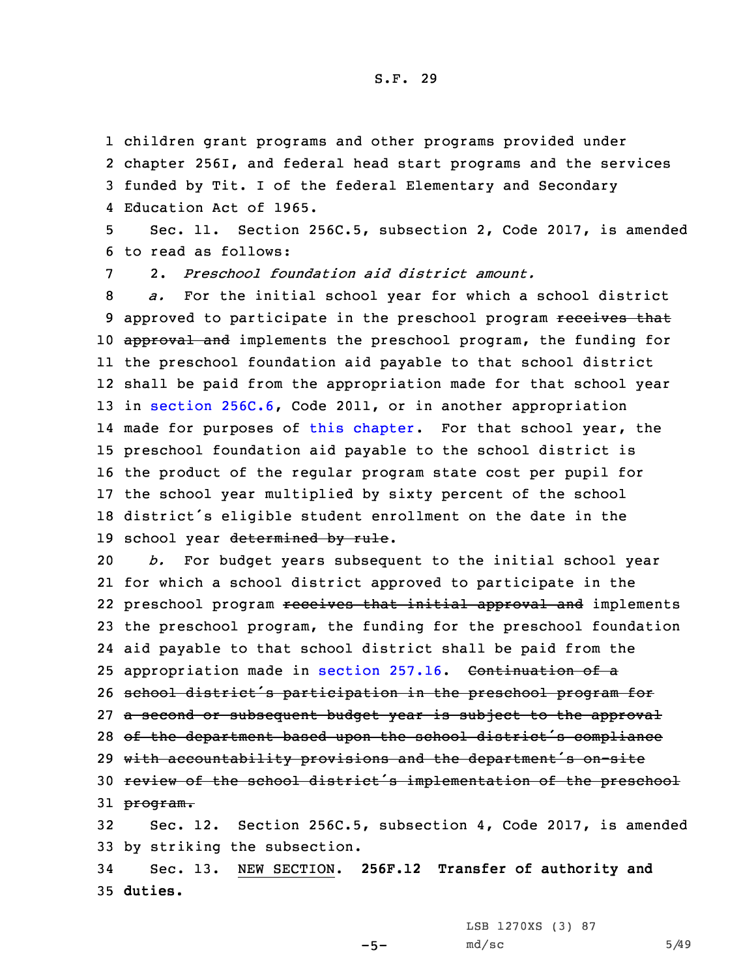1 children grant programs and other programs provided under

2 chapter 256I, and federal head start programs and the services 3 funded by Tit. <sup>I</sup> of the federal Elementary and Secondary 4 Education Act of 1965.

5 Sec. 11. Section 256C.5, subsection 2, Code 2017, is amended 6 to read as follows:

7 2. *Preschool foundation aid district amount.*

 *a.* For the initial school year for which <sup>a</sup> school district 9 approved to participate in the preschool program receives that 10 approval and implements the preschool program, the funding for the preschool foundation aid payable to that school district shall be paid from the appropriation made for that school year in section [256C.6](https://www.legis.iowa.gov/docs/code/2017/256C.6.pdf), Code 2011, or in another appropriation 14 made for purposes of this [chapter](https://www.legis.iowa.gov/docs/code/2017/256C.pdf). For that school year, the preschool foundation aid payable to the school district is the product of the regular program state cost per pupil for the school year multiplied by sixty percent of the school district's eligible student enrollment on the date in the 19 school year determined by rule.

 *b.* For budget years subsequent to the initial school year for which <sup>a</sup> school district approved to participate in the 22 preschool program <del>receives that initial approval and</del> implements the preschool program, the funding for the preschool foundation aid payable to that school district shall be paid from the 25 appropriation made in [section](https://www.legis.iowa.gov/docs/code/2017/257.16.pdf) 257.16. Continuation of a school district's participation in the preschool program for 27 a second or subsequent budget year is subject to the approval 28 of the department based upon the school district's compliance with accountability provisions and the department's on-site review of the school district's implementation of the preschool 31 program. Sec. 12. Section 256C.5, subsection 4, Code 2017, is amended

33 by striking the subsection.

34 Sec. 13. NEW SECTION. **256F.12 Transfer of authority and** 35 **duties.**

LSB 1270XS (3) 87

 $-5-$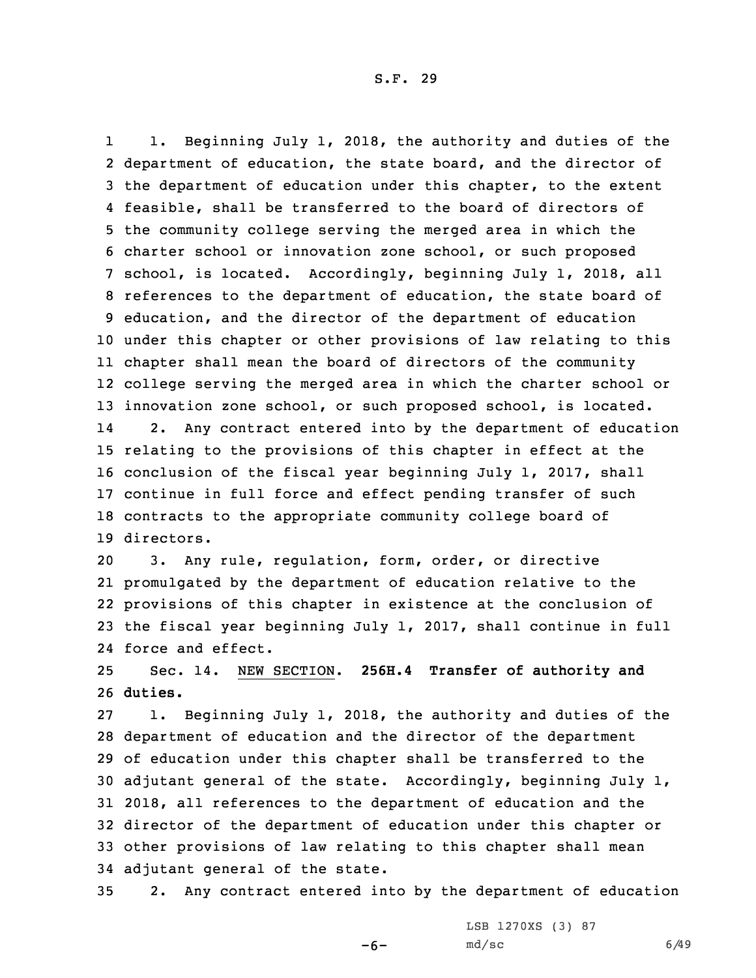1 1. Beginning July 1, 2018, the authority and duties of the department of education, the state board, and the director of the department of education under this chapter, to the extent feasible, shall be transferred to the board of directors of the community college serving the merged area in which the charter school or innovation zone school, or such proposed school, is located. Accordingly, beginning July 1, 2018, all references to the department of education, the state board of education, and the director of the department of education under this chapter or other provisions of law relating to this chapter shall mean the board of directors of the community college serving the merged area in which the charter school or innovation zone school, or such proposed school, is located. 14 2. Any contract entered into by the department of education relating to the provisions of this chapter in effect at the conclusion of the fiscal year beginning July 1, 2017, shall continue in full force and effect pending transfer of such contracts to the appropriate community college board of directors.

 3. Any rule, regulation, form, order, or directive promulgated by the department of education relative to the provisions of this chapter in existence at the conclusion of the fiscal year beginning July 1, 2017, shall continue in full force and effect.

25 Sec. 14. NEW SECTION. **256H.4 Transfer of authority and** 26 **duties.**

 1. Beginning July 1, 2018, the authority and duties of the department of education and the director of the department of education under this chapter shall be transferred to the adjutant general of the state. Accordingly, beginning July 1, 2018, all references to the department of education and the director of the department of education under this chapter or other provisions of law relating to this chapter shall mean adjutant general of the state.

35 2. Any contract entered into by the department of education

-6-

LSB 1270XS (3) 87  $md/sec$  6/49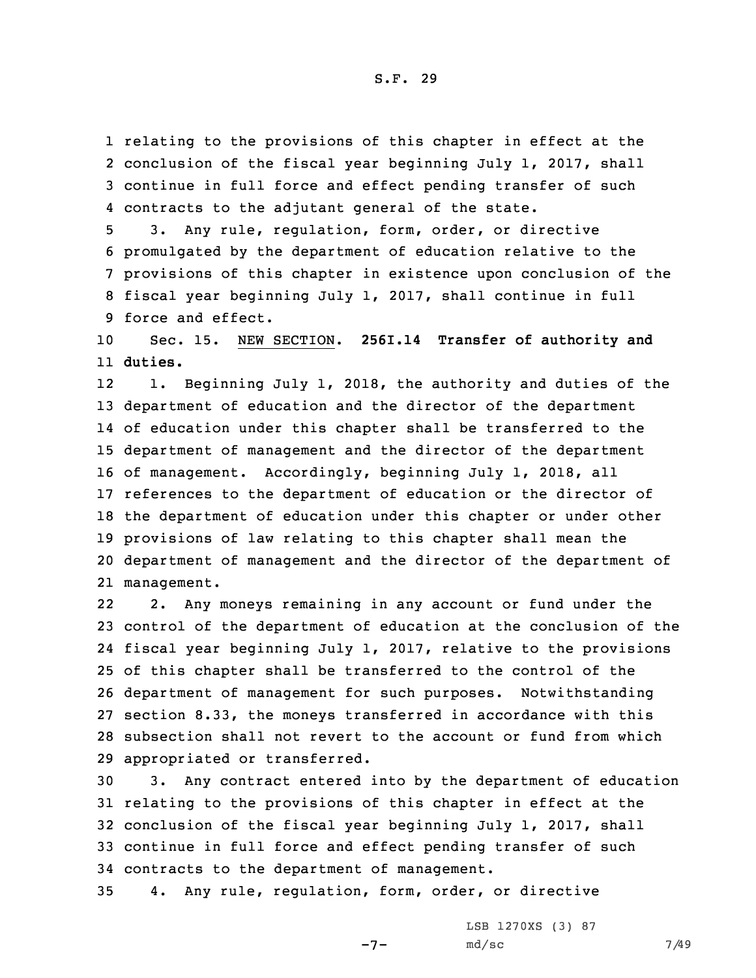relating to the provisions of this chapter in effect at the conclusion of the fiscal year beginning July 1, 2017, shall continue in full force and effect pending transfer of such contracts to the adjutant general of the state.

 3. Any rule, regulation, form, order, or directive promulgated by the department of education relative to the provisions of this chapter in existence upon conclusion of the fiscal year beginning July 1, 2017, shall continue in full force and effect.

10 Sec. 15. NEW SECTION. **256I.14 Transfer of authority and** 11 **duties.**

12 1. Beginning July 1, 2018, the authority and duties of the department of education and the director of the department of education under this chapter shall be transferred to the department of management and the director of the department of management. Accordingly, beginning July 1, 2018, all references to the department of education or the director of the department of education under this chapter or under other provisions of law relating to this chapter shall mean the department of management and the director of the department of management.

22 2. Any moneys remaining in any account or fund under the control of the department of education at the conclusion of the fiscal year beginning July 1, 2017, relative to the provisions of this chapter shall be transferred to the control of the department of management for such purposes. Notwithstanding section 8.33, the moneys transferred in accordance with this subsection shall not revert to the account or fund from which appropriated or transferred.

 3. Any contract entered into by the department of education relating to the provisions of this chapter in effect at the conclusion of the fiscal year beginning July 1, 2017, shall continue in full force and effect pending transfer of such contracts to the department of management.

35 4. Any rule, regulation, form, order, or directive

 $-7-$ 

LSB 1270XS (3) 87 md/sc 7/49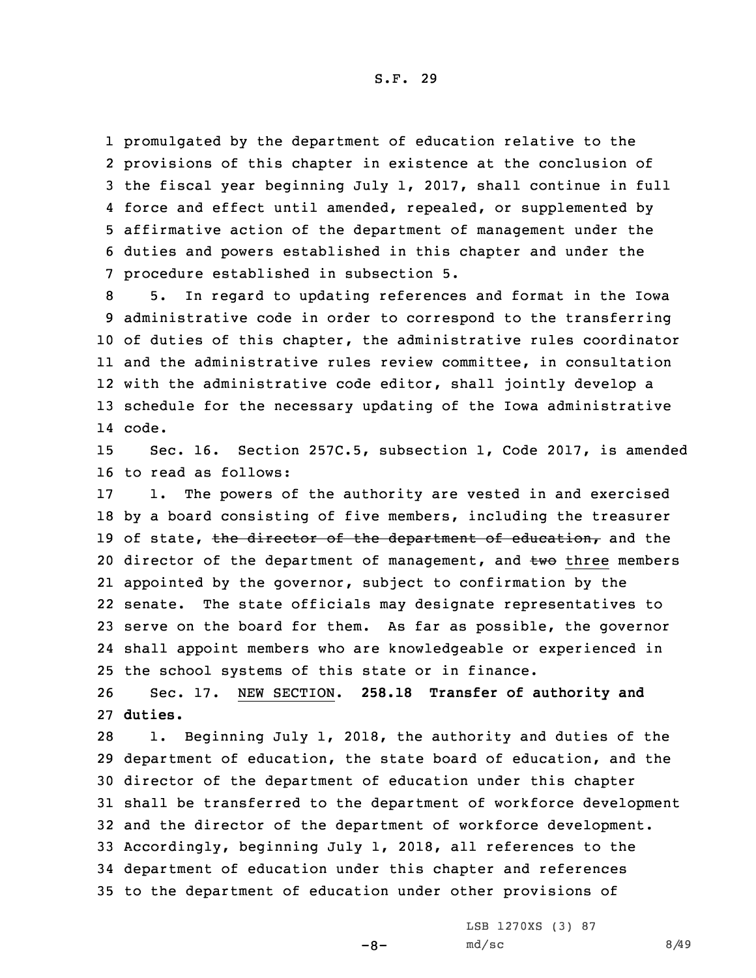promulgated by the department of education relative to the provisions of this chapter in existence at the conclusion of the fiscal year beginning July 1, 2017, shall continue in full 4 force and effect until amended, repealed, or supplemented by affirmative action of the department of management under the duties and powers established in this chapter and under the procedure established in subsection 5.

 5. In regard to updating references and format in the Iowa administrative code in order to correspond to the transferring of duties of this chapter, the administrative rules coordinator and the administrative rules review committee, in consultation with the administrative code editor, shall jointly develop <sup>a</sup> schedule for the necessary updating of the Iowa administrative 14 code.

15 Sec. 16. Section 257C.5, subsection 1, Code 2017, is amended 16 to read as follows:

17 1. The powers of the authority are vested in and exercised 18 by <sup>a</sup> board consisting of five members, including the treasurer 19 of state, the director of the department of education, and the 20 director of the department of management, and two three members 21 appointed by the governor, subject to confirmation by the 22 senate. The state officials may designate representatives to 23 serve on the board for them. As far as possible, the governor 24 shall appoint members who are knowledgeable or experienced in 25 the school systems of this state or in finance.

26 Sec. 17. NEW SECTION. **258.18 Transfer of authority and** 27 **duties.**

 1. Beginning July 1, 2018, the authority and duties of the department of education, the state board of education, and the director of the department of education under this chapter shall be transferred to the department of workforce development and the director of the department of workforce development. Accordingly, beginning July 1, 2018, all references to the department of education under this chapter and references to the department of education under other provisions of

 $-8-$ 

LSB 1270XS (3) 87  $md/sec$  8/49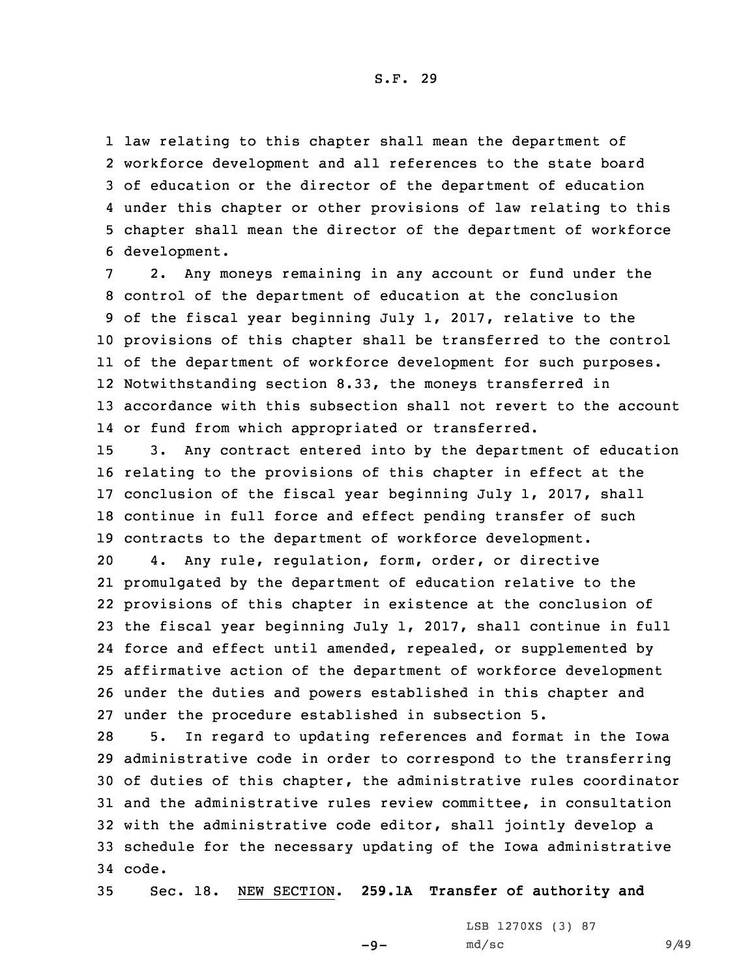law relating to this chapter shall mean the department of workforce development and all references to the state board of education or the director of the department of education under this chapter or other provisions of law relating to this chapter shall mean the director of the department of workforce development.

 2. Any moneys remaining in any account or fund under the control of the department of education at the conclusion of the fiscal year beginning July 1, 2017, relative to the provisions of this chapter shall be transferred to the control of the department of workforce development for such purposes. Notwithstanding section 8.33, the moneys transferred in accordance with this subsection shall not revert to the account or fund from which appropriated or transferred.

 3. Any contract entered into by the department of education relating to the provisions of this chapter in effect at the conclusion of the fiscal year beginning July 1, 2017, shall continue in full force and effect pending transfer of such contracts to the department of workforce development.

 4. Any rule, regulation, form, order, or directive promulgated by the department of education relative to the provisions of this chapter in existence at the conclusion of the fiscal year beginning July 1, 2017, shall continue in full force and effect until amended, repealed, or supplemented by affirmative action of the department of workforce development under the duties and powers established in this chapter and under the procedure established in subsection 5.

 5. In regard to updating references and format in the Iowa administrative code in order to correspond to the transferring of duties of this chapter, the administrative rules coordinator and the administrative rules review committee, in consultation with the administrative code editor, shall jointly develop <sup>a</sup> schedule for the necessary updating of the Iowa administrative 34 code.

35 Sec. 18. NEW SECTION. **259.1A Transfer of authority and**

 $-9-$ 

LSB 1270XS (3) 87 md/sc 9/49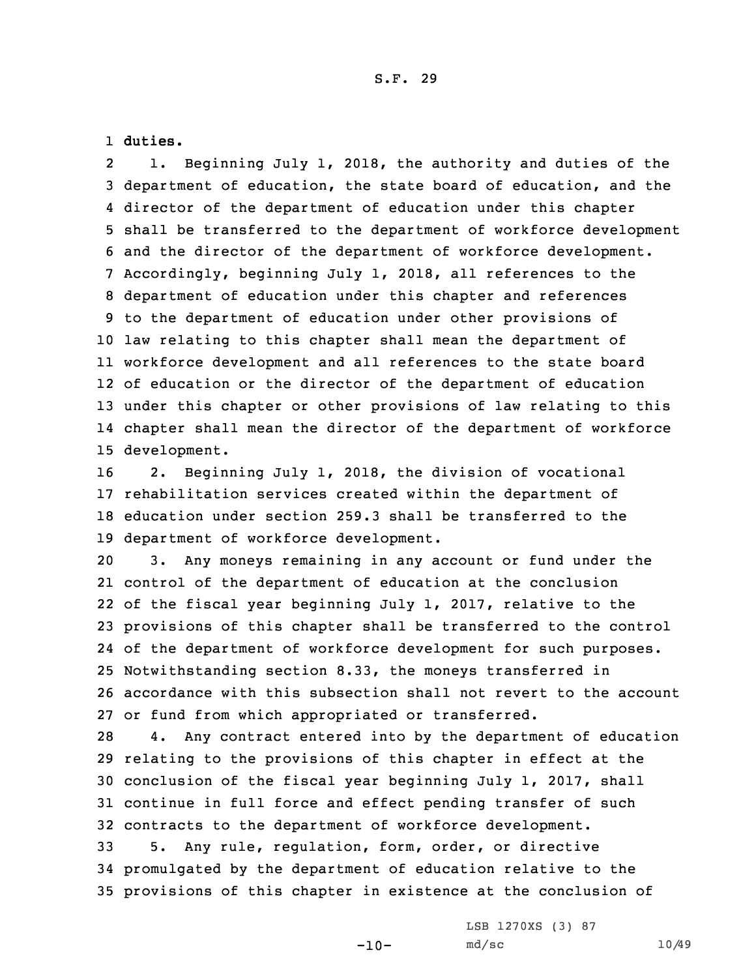1 **duties.**

2 1. Beginning July 1, 2018, the authority and duties of the department of education, the state board of education, and the director of the department of education under this chapter shall be transferred to the department of workforce development and the director of the department of workforce development. Accordingly, beginning July 1, 2018, all references to the department of education under this chapter and references to the department of education under other provisions of law relating to this chapter shall mean the department of workforce development and all references to the state board of education or the director of the department of education under this chapter or other provisions of law relating to this chapter shall mean the director of the department of workforce development.

 2. Beginning July 1, 2018, the division of vocational rehabilitation services created within the department of education under section 259.3 shall be transferred to the department of workforce development.

 3. Any moneys remaining in any account or fund under the control of the department of education at the conclusion of the fiscal year beginning July 1, 2017, relative to the provisions of this chapter shall be transferred to the control of the department of workforce development for such purposes. Notwithstanding section 8.33, the moneys transferred in accordance with this subsection shall not revert to the account or fund from which appropriated or transferred.

 4. Any contract entered into by the department of education relating to the provisions of this chapter in effect at the conclusion of the fiscal year beginning July 1, 2017, shall continue in full force and effect pending transfer of such contracts to the department of workforce development.

33 5. Any rule, regulation, form, order, or directive 34 promulgated by the department of education relative to the 35 provisions of this chapter in existence at the conclusion of

 $-10-$ 

LSB 1270XS (3) 87 md/sc 10/49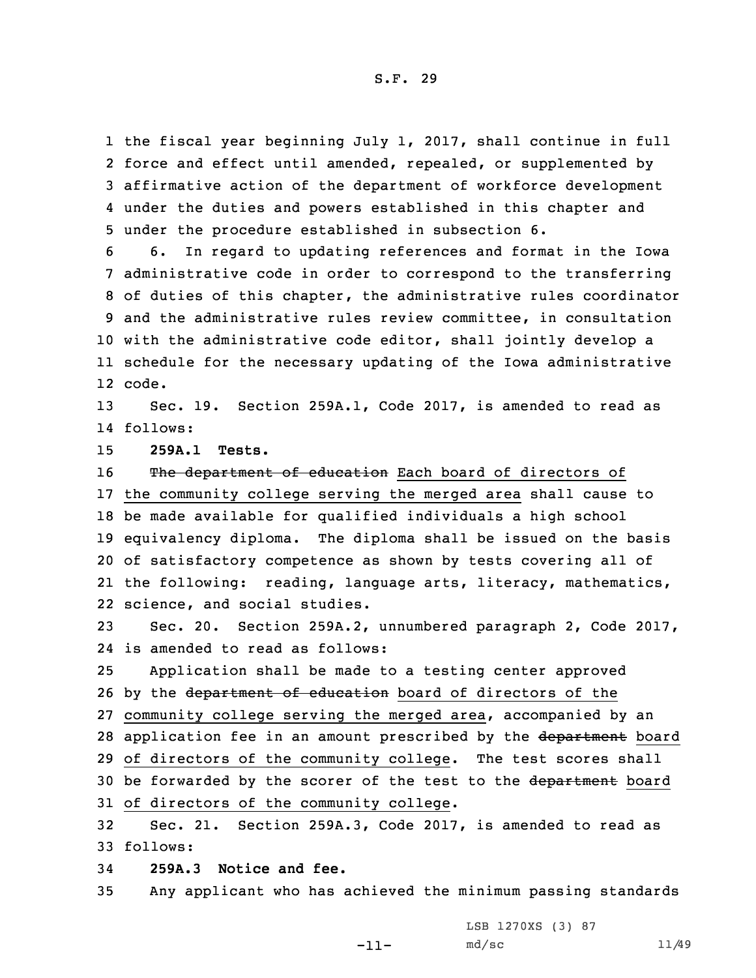the fiscal year beginning July 1, 2017, shall continue in full 2 force and effect until amended, repealed, or supplemented by affirmative action of the department of workforce development under the duties and powers established in this chapter and under the procedure established in subsection 6.

 6. In regard to updating references and format in the Iowa administrative code in order to correspond to the transferring of duties of this chapter, the administrative rules coordinator and the administrative rules review committee, in consultation with the administrative code editor, shall jointly develop <sup>a</sup> schedule for the necessary updating of the Iowa administrative 12 code.

13 Sec. 19. Section 259A.1, Code 2017, is amended to read as 14 follows:

15 **259A.1 Tests.**

16 The department of education Each board of directors of the community college serving the merged area shall cause to be made available for qualified individuals <sup>a</sup> high school equivalency diploma. The diploma shall be issued on the basis of satisfactory competence as shown by tests covering all of the following: reading, language arts, literacy, mathematics, science, and social studies.

23 Sec. 20. Section 259A.2, unnumbered paragraph 2, Code 2017, 24 is amended to read as follows:

25 Application shall be made to <sup>a</sup> testing center approved 26 by the department of education board of directors of the 27 community college serving the merged area, accompanied by an 28 application fee in an amount prescribed by the department board 29 of directors of the community college. The test scores shall 30 be forwarded by the scorer of the test to the department board 31 of directors of the community college.

32 Sec. 21. Section 259A.3, Code 2017, is amended to read as 33 follows:

34 **259A.3 Notice and fee.**

35 Any applicant who has achieved the minimum passing standards

-11-

LSB 1270XS (3) 87 md/sc 11/49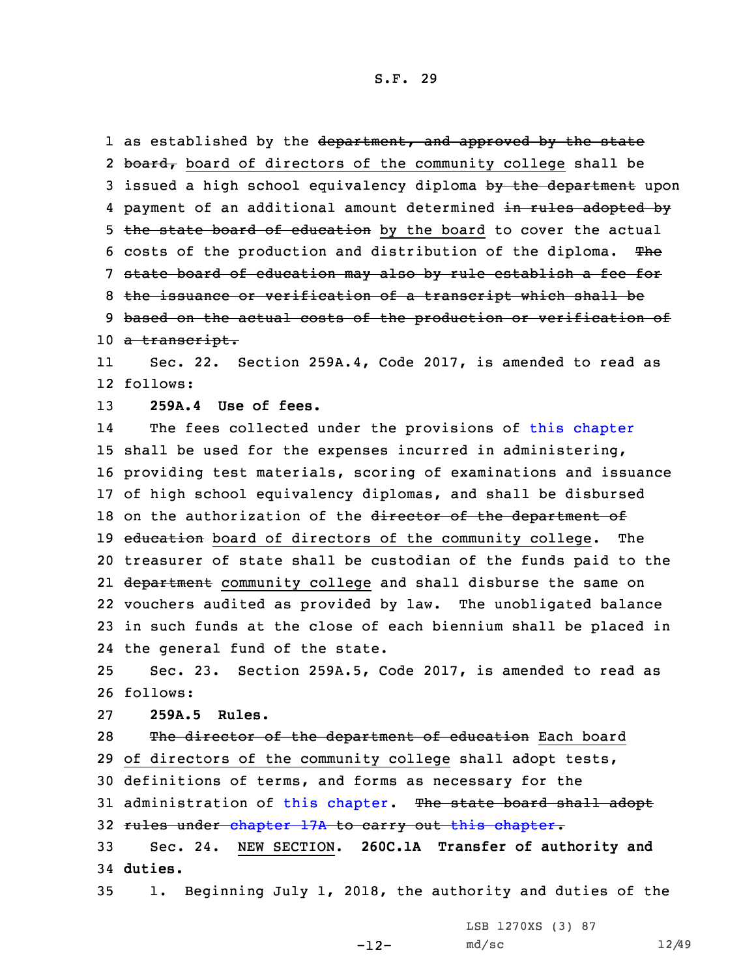1 as established by the <del>department, and approved by the state</del> 2 board, board of directors of the community college shall be 3 issued a high school equivalency diploma by the department upon 4 payment of an additional amount determined <del>in rules adopted by</del> 5 the state board of education by the board to cover the actual 6 costs of the production and distribution of the diploma. The 7 state board of education may also by rule establish <sup>a</sup> fee for 8 the issuance or verification of <sup>a</sup> transcript which shall be 9 based on the actual costs of the production or verification of 10 a transcript. 11 Sec. 22. Section 259A.4, Code 2017, is amended to read as 12 follows: 13 **259A.4 Use of fees.** 14The fees collected under the provisions of this [chapter](https://www.legis.iowa.gov/docs/code/2017/259A.pdf) 15 shall be used for the expenses incurred in administering, 16 providing test materials, scoring of examinations and issuance 17 of high school equivalency diplomas, and shall be disbursed 18 on the authorization of the director of the department of 19 education board of directors of the community college. The 20 treasurer of state shall be custodian of the funds paid to the 21 <del>department</del> community college and shall disburse the same on 22 vouchers audited as provided by law. The unobligated balance 23 in such funds at the close of each biennium shall be placed in 24 the general fund of the state. 25 Sec. 23. Section 259A.5, Code 2017, is amended to read as

26 follows:

27 **259A.5 Rules.**

28 The director of the department of education Each board 29 of directors of the community college shall adopt tests, 30 definitions of terms, and forms as necessary for the 31 administration of this [chapter](https://www.legis.iowa.gov/docs/code/2017/259A.pdf). The state board shall adopt 32 rules under [chapter](https://www.legis.iowa.gov/docs/code/2017/259A.pdf) 17A to carry out this chapter. 33 Sec. 24. NEW SECTION. **260C.1A Transfer of authority and** 34 **duties.**

35 1. Beginning July 1, 2018, the authority and duties of the

LSB 1270XS (3) 87

md/sc 12/49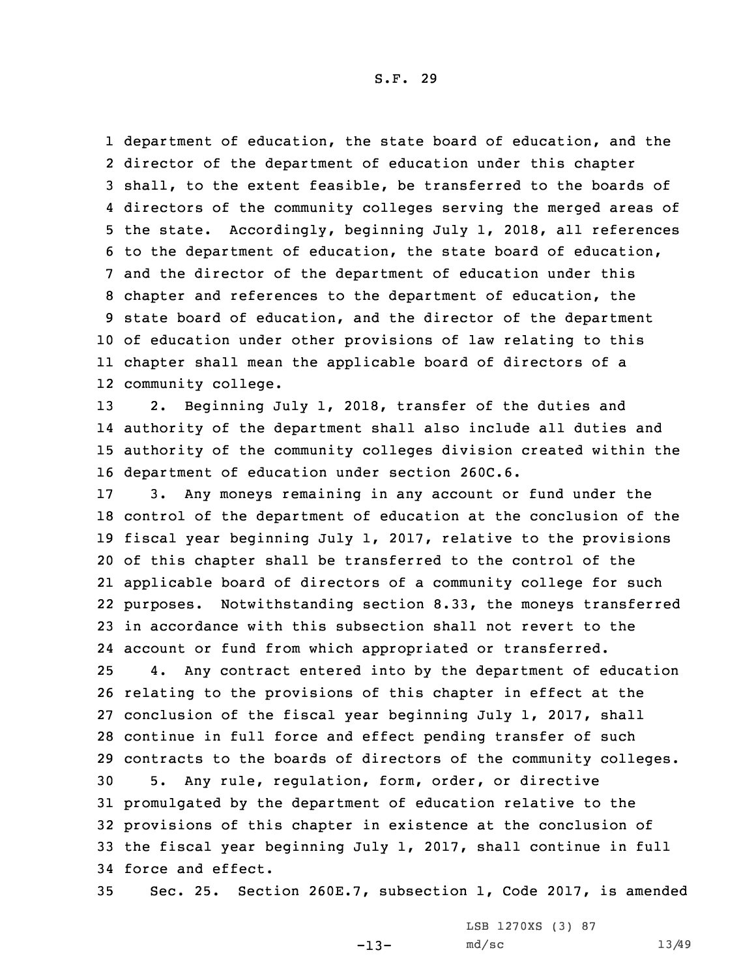department of education, the state board of education, and the director of the department of education under this chapter shall, to the extent feasible, be transferred to the boards of directors of the community colleges serving the merged areas of the state. Accordingly, beginning July 1, 2018, all references to the department of education, the state board of education, and the director of the department of education under this chapter and references to the department of education, the state board of education, and the director of the department of education under other provisions of law relating to this chapter shall mean the applicable board of directors of <sup>a</sup> community college.

 2. Beginning July 1, 2018, transfer of the duties and authority of the department shall also include all duties and authority of the community colleges division created within the department of education under section 260C.6.

 3. Any moneys remaining in any account or fund under the control of the department of education at the conclusion of the fiscal year beginning July 1, 2017, relative to the provisions of this chapter shall be transferred to the control of the applicable board of directors of <sup>a</sup> community college for such purposes. Notwithstanding section 8.33, the moneys transferred in accordance with this subsection shall not revert to the account or fund from which appropriated or transferred.

 4. Any contract entered into by the department of education relating to the provisions of this chapter in effect at the conclusion of the fiscal year beginning July 1, 2017, shall continue in full force and effect pending transfer of such contracts to the boards of directors of the community colleges. 5. Any rule, regulation, form, order, or directive promulgated by the department of education relative to the provisions of this chapter in existence at the conclusion of the fiscal year beginning July 1, 2017, shall continue in full force and effect.

35 Sec. 25. Section 260E.7, subsection 1, Code 2017, is amended

-13-

LSB 1270XS (3) 87 md/sc 13/49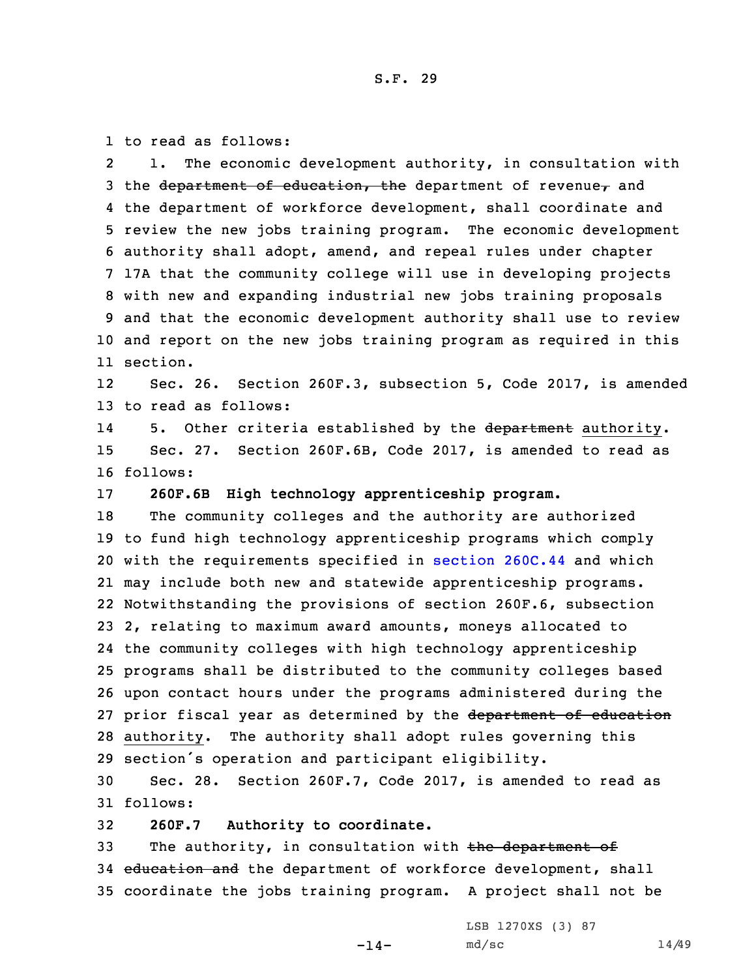1 to read as follows:

2 1. The economic development authority, in consultation with 3 the department of education, the department of revenue, and the department of workforce development, shall coordinate and review the new jobs training program. The economic development authority shall adopt, amend, and repeal rules under chapter 17A that the community college will use in developing projects with new and expanding industrial new jobs training proposals and that the economic development authority shall use to review and report on the new jobs training program as required in this 11 section.

12 Sec. 26. Section 260F.3, subsection 5, Code 2017, is amended 13 to read as follows:

145. Other criteria established by the department authority. 15 Sec. 27. Section 260F.6B, Code 2017, is amended to read as 16 follows:

17 **260F.6B High technology apprenticeship program.**

 The community colleges and the authority are authorized to fund high technology apprenticeship programs which comply with the requirements specified in [section](https://www.legis.iowa.gov/docs/code/2017/260C.44.pdf) 260C.44 and which may include both new and statewide apprenticeship programs. Notwithstanding the provisions of section 260F.6, subsection 2, relating to maximum award amounts, moneys allocated to the community colleges with high technology apprenticeship programs shall be distributed to the community colleges based upon contact hours under the programs administered during the 27 prior fiscal year as determined by the department of education authority. The authority shall adopt rules governing this section's operation and participant eligibility.

30 Sec. 28. Section 260F.7, Code 2017, is amended to read as 31 follows:

32 **260F.7 Authority to coordinate.**

33 The authority, in consultation with the department of 34 education and the department of workforce development, shall 35 coordinate the jobs training program. <sup>A</sup> project shall not be

 $-14-$ 

LSB 1270XS (3) 87 md/sc 14/49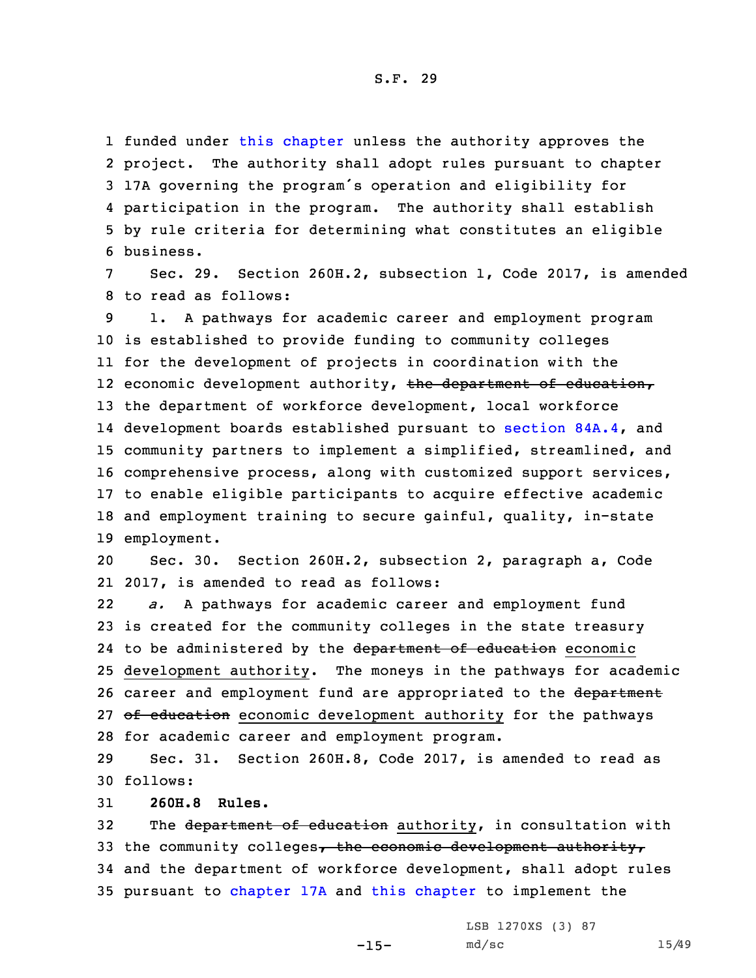funded under this [chapter](https://www.legis.iowa.gov/docs/code/2017/260F.pdf) unless the authority approves the 2 project. The authority shall adopt rules pursuant to chapter 17A governing the program's operation and eligibility for participation in the program. The authority shall establish by rule criteria for determining what constitutes an eligible business.

Sec. 29. Section 260H.2, subsection 1, Code 2017, is amended 8 to read as follows:

 1. <sup>A</sup> pathways for academic career and employment program is established to provide funding to community colleges for the development of projects in coordination with the 12 economic development authority, <del>the department of education,</del> the department of workforce development, local workforce development boards established pursuant to [section](https://www.legis.iowa.gov/docs/code/2017/84A.4.pdf) 84A.4, and community partners to implement <sup>a</sup> simplified, streamlined, and comprehensive process, along with customized support services, to enable eligible participants to acquire effective academic and employment training to secure gainful, quality, in-state employment.

20 Sec. 30. Section 260H.2, subsection 2, paragraph a, Code 21 2017, is amended to read as follows:

22 *a.* <sup>A</sup> pathways for academic career and employment fund 23 is created for the community colleges in the state treasury 24 to be administered by the department of education economic 25 development authority. The moneys in the pathways for academic 26 career and employment fund are appropriated to the department 27 of education economic development authority for the pathways 28 for academic career and employment program.

29 Sec. 31. Section 260H.8, Code 2017, is amended to read as 30 follows:

31 **260H.8 Rules.**

32 The department of education authority, in consultation with 33 the community colleges, the economic development authority, 34 and the department of workforce development, shall adopt rules 35 pursuant to [chapter](https://www.legis.iowa.gov/docs/code/2017/17A.pdf) 17A and this [chapter](https://www.legis.iowa.gov/docs/code/2017/260H.pdf) to implement the

LSB 1270XS (3) 87

md/sc 15/49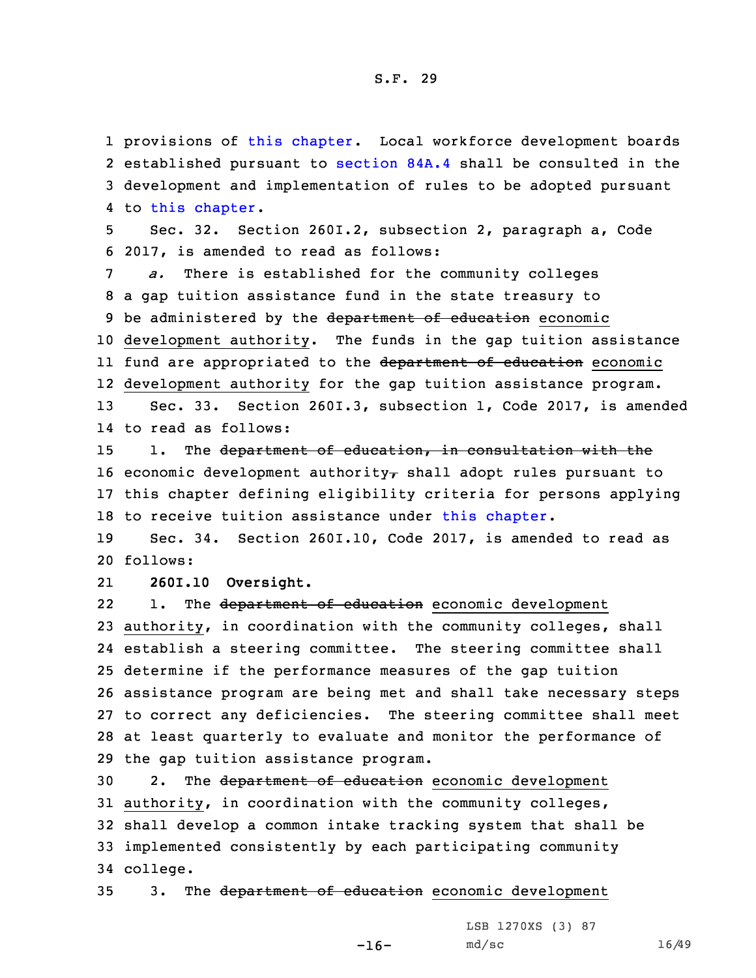1 provisions of this [chapter](https://www.legis.iowa.gov/docs/code/2017/260H.pdf). Local workforce development boards

 established pursuant to [section](https://www.legis.iowa.gov/docs/code/2017/84A.4.pdf) 84A.4 shall be consulted in the development and implementation of rules to be adopted pursuant 4 to this [chapter](https://www.legis.iowa.gov/docs/code/2017/260H.pdf). Sec. 32. Section 260I.2, subsection 2, paragraph a, Code 2017, is amended to read as follows: *a.* There is established for the community colleges <sup>a</sup> gap tuition assistance fund in the state treasury to 9 be administered by the department of education economic development authority. The funds in the gap tuition assistance ll fund are appropriated to the <del>department of education</del> economic development authority for the gap tuition assistance program. Sec. 33. Section 260I.3, subsection 1, Code 2017, is amended to read as follows: 15 1. The department of education, in consultation with the 16 economic development authority $<sub>r</sub>$  shall adopt rules pursuant to</sub> this chapter defining eligibility criteria for persons applying 18 to receive tuition assistance under this [chapter](https://www.legis.iowa.gov/docs/code/2017/260I.pdf). Sec. 34. Section 260I.10, Code 2017, is amended to read as 20 follows: 21 **260I.10 Oversight.** 221. The department of education economic development authority, in coordination with the community colleges, shall establish <sup>a</sup> steering committee. The steering committee shall determine if the performance measures of the gap tuition assistance program are being met and shall take necessary steps to correct any deficiencies. The steering committee shall meet at least quarterly to evaluate and monitor the performance of the gap tuition assistance program. 30 2. The department of education economic development authority, in coordination with the community colleges, shall develop <sup>a</sup> common intake tracking system that shall be implemented consistently by each participating community 34 college.

35 3. The department of education economic development

 $-16-$ 

LSB 1270XS (3) 87 md/sc 16/49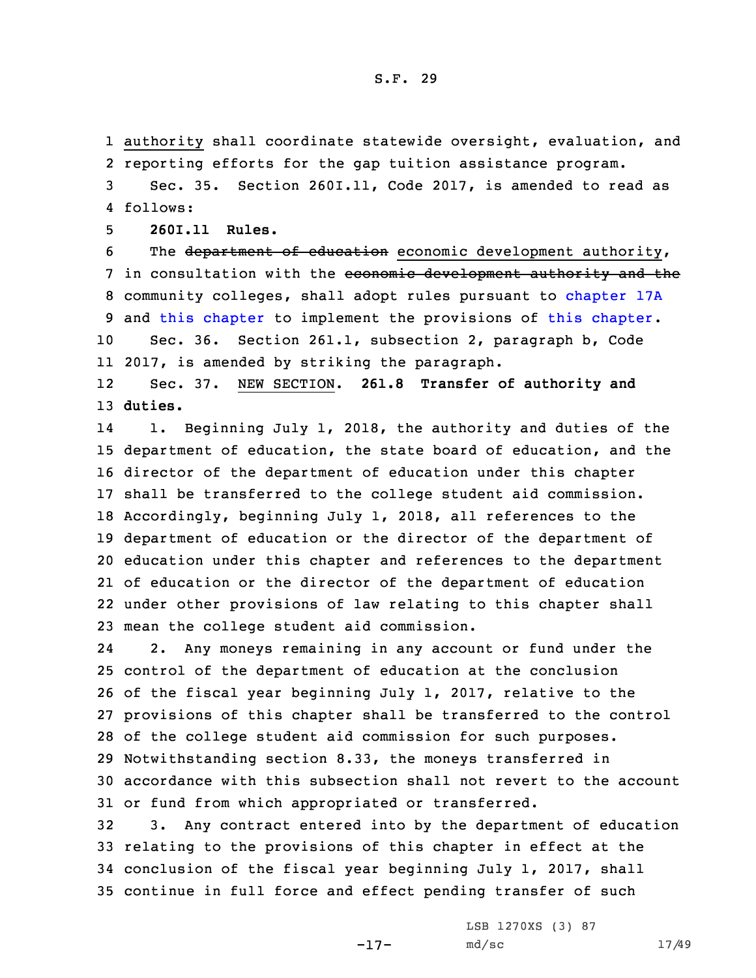1 authority shall coordinate statewide oversight, evaluation, and 2 reporting efforts for the gap tuition assistance program.

3 Sec. 35. Section 260I.11, Code 2017, is amended to read as 4 follows:

5 **260I.11 Rules.**

6 The department of education economic development authority, 7 in consultation with the economic development authority and the 8 community colleges, shall adopt rules pursuant to [chapter](https://www.legis.iowa.gov/docs/code/2017/17A.pdf) 17A 9 and this [chapter](https://www.legis.iowa.gov/docs/code/2017/260I.pdf) to implement the provisions of this [chapter](https://www.legis.iowa.gov/docs/code/2017/260I.pdf). 10 Sec. 36. Section 261.1, subsection 2, paragraph b, Code

11 2017, is amended by striking the paragraph.

12 Sec. 37. NEW SECTION. **261.8 Transfer of authority and** 13 **duties.**

14 1. Beginning July 1, 2018, the authority and duties of the department of education, the state board of education, and the director of the department of education under this chapter shall be transferred to the college student aid commission. Accordingly, beginning July 1, 2018, all references to the department of education or the director of the department of education under this chapter and references to the department of education or the director of the department of education under other provisions of law relating to this chapter shall mean the college student aid commission.

24 2. Any moneys remaining in any account or fund under the control of the department of education at the conclusion of the fiscal year beginning July 1, 2017, relative to the provisions of this chapter shall be transferred to the control of the college student aid commission for such purposes. Notwithstanding section 8.33, the moneys transferred in accordance with this subsection shall not revert to the account or fund from which appropriated or transferred.

 3. Any contract entered into by the department of education relating to the provisions of this chapter in effect at the conclusion of the fiscal year beginning July 1, 2017, shall continue in full force and effect pending transfer of such

-17-

LSB 1270XS (3) 87 md/sc 17/49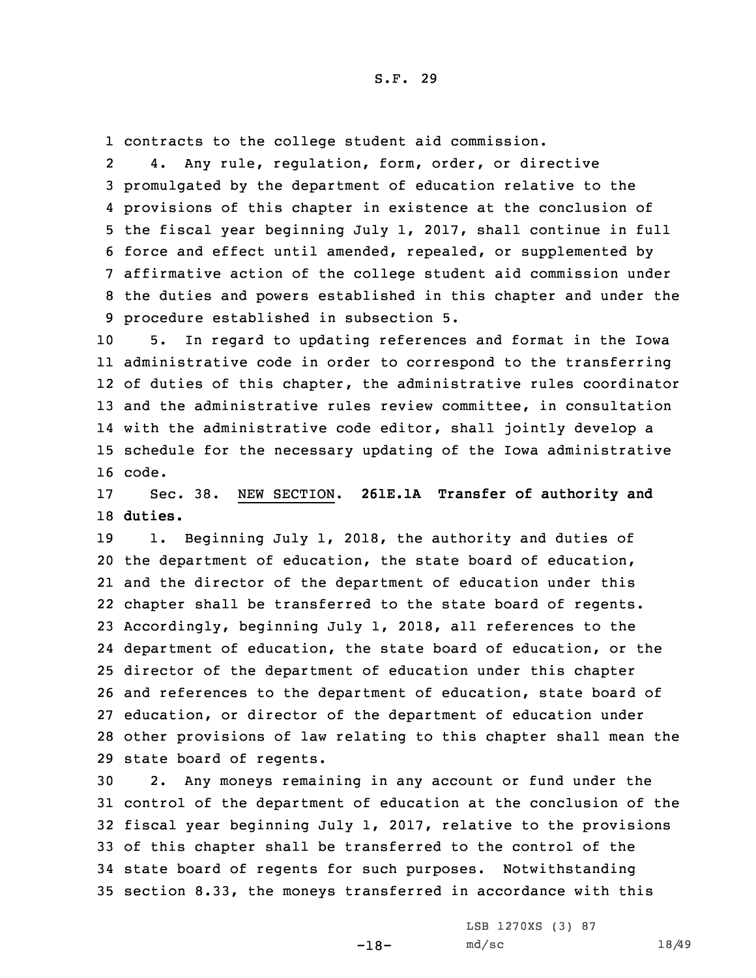1 contracts to the college student aid commission.

2 4. Any rule, regulation, form, order, or directive promulgated by the department of education relative to the provisions of this chapter in existence at the conclusion of the fiscal year beginning July 1, 2017, shall continue in full force and effect until amended, repealed, or supplemented by affirmative action of the college student aid commission under the duties and powers established in this chapter and under the procedure established in subsection 5.

 5. In regard to updating references and format in the Iowa administrative code in order to correspond to the transferring of duties of this chapter, the administrative rules coordinator and the administrative rules review committee, in consultation with the administrative code editor, shall jointly develop <sup>a</sup> schedule for the necessary updating of the Iowa administrative 16 code.

17 Sec. 38. NEW SECTION. **261E.1A Transfer of authority and** 18 **duties.**

19 1. Beginning July 1, 2018, the authority and duties of the department of education, the state board of education, and the director of the department of education under this chapter shall be transferred to the state board of regents. Accordingly, beginning July 1, 2018, all references to the department of education, the state board of education, or the director of the department of education under this chapter and references to the department of education, state board of education, or director of the department of education under other provisions of law relating to this chapter shall mean the state board of regents.

 2. Any moneys remaining in any account or fund under the control of the department of education at the conclusion of the fiscal year beginning July 1, 2017, relative to the provisions of this chapter shall be transferred to the control of the state board of regents for such purposes. Notwithstanding section 8.33, the moneys transferred in accordance with this

-18-

LSB 1270XS (3) 87 md/sc 18/49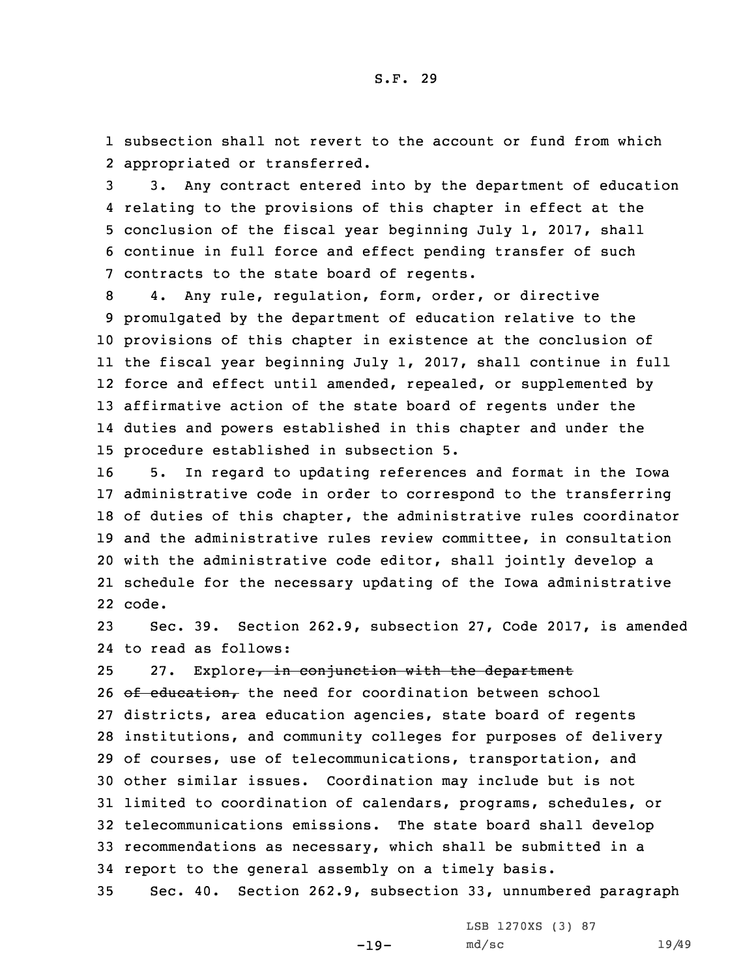1 subsection shall not revert to the account or fund from which 2 appropriated or transferred.

 3. Any contract entered into by the department of education relating to the provisions of this chapter in effect at the conclusion of the fiscal year beginning July 1, 2017, shall continue in full force and effect pending transfer of such contracts to the state board of regents.

 4. Any rule, regulation, form, order, or directive promulgated by the department of education relative to the provisions of this chapter in existence at the conclusion of the fiscal year beginning July 1, 2017, shall continue in full force and effect until amended, repealed, or supplemented by affirmative action of the state board of regents under the duties and powers established in this chapter and under the procedure established in subsection 5.

 5. In regard to updating references and format in the Iowa administrative code in order to correspond to the transferring of duties of this chapter, the administrative rules coordinator and the administrative rules review committee, in consultation with the administrative code editor, shall jointly develop <sup>a</sup> schedule for the necessary updating of the Iowa administrative 22 code.

23 Sec. 39. Section 262.9, subsection 27, Code 2017, is amended 24 to read as follows:

25 27. Explore, in conjunction with the department

26 of education, the need for coordination between school districts, area education agencies, state board of regents institutions, and community colleges for purposes of delivery of courses, use of telecommunications, transportation, and other similar issues. Coordination may include but is not limited to coordination of calendars, programs, schedules, or telecommunications emissions. The state board shall develop recommendations as necessary, which shall be submitted in <sup>a</sup> report to the general assembly on <sup>a</sup> timely basis.

35 Sec. 40. Section 262.9, subsection 33, unnumbered paragraph

-19-

LSB 1270XS (3) 87 md/sc 19/49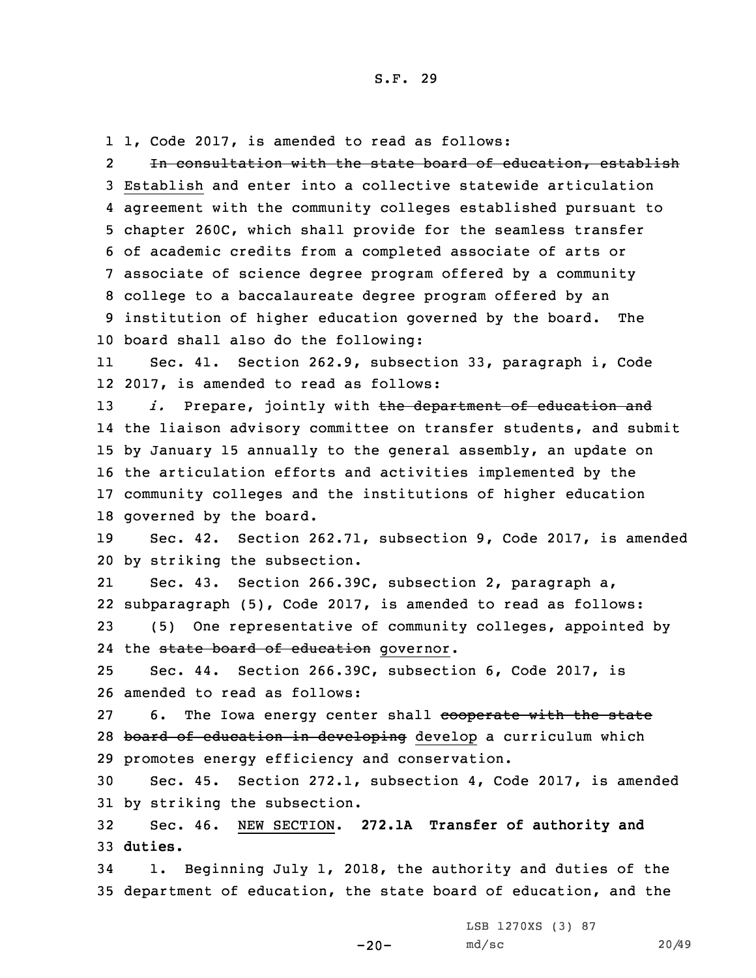1 1, Code 2017, is amended to read as follows:

22 Th consultation with the state board of education, establish Establish and enter into <sup>a</sup> collective statewide articulation agreement with the community colleges established pursuant to chapter 260C, which shall provide for the seamless transfer of academic credits from <sup>a</sup> completed associate of arts or associate of science degree program offered by <sup>a</sup> community college to <sup>a</sup> baccalaureate degree program offered by an institution of higher education governed by the board. The board shall also do the following:

11 Sec. 41. Section 262.9, subsection 33, paragraph i, Code 12 2017, is amended to read as follows:

*i.* Prepare, jointly with the department of education and the liaison advisory committee on transfer students, and submit by January 15 annually to the general assembly, an update on the articulation efforts and activities implemented by the community colleges and the institutions of higher education governed by the board.

19 Sec. 42. Section 262.71, subsection 9, Code 2017, is amended 20 by striking the subsection.

21 Sec. 43. Section 266.39C, subsection 2, paragraph a, 22 subparagraph (5), Code 2017, is amended to read as follows: 23 (5) One representative of community colleges, appointed by

24 the state board of education governor.

25 Sec. 44. Section 266.39C, subsection 6, Code 2017, is 26 amended to read as follows:

27 6. The Iowa energy center shall cooperate with the state 28 board of education in developing develop a curriculum which 29 promotes energy efficiency and conservation.

30 Sec. 45. Section 272.1, subsection 4, Code 2017, is amended 31 by striking the subsection.

32 Sec. 46. NEW SECTION. **272.1A Transfer of authority and** 33 **duties.**

34 1. Beginning July 1, 2018, the authority and duties of the 35 department of education, the state board of education, and the

LSB 1270XS (3) 87

-20-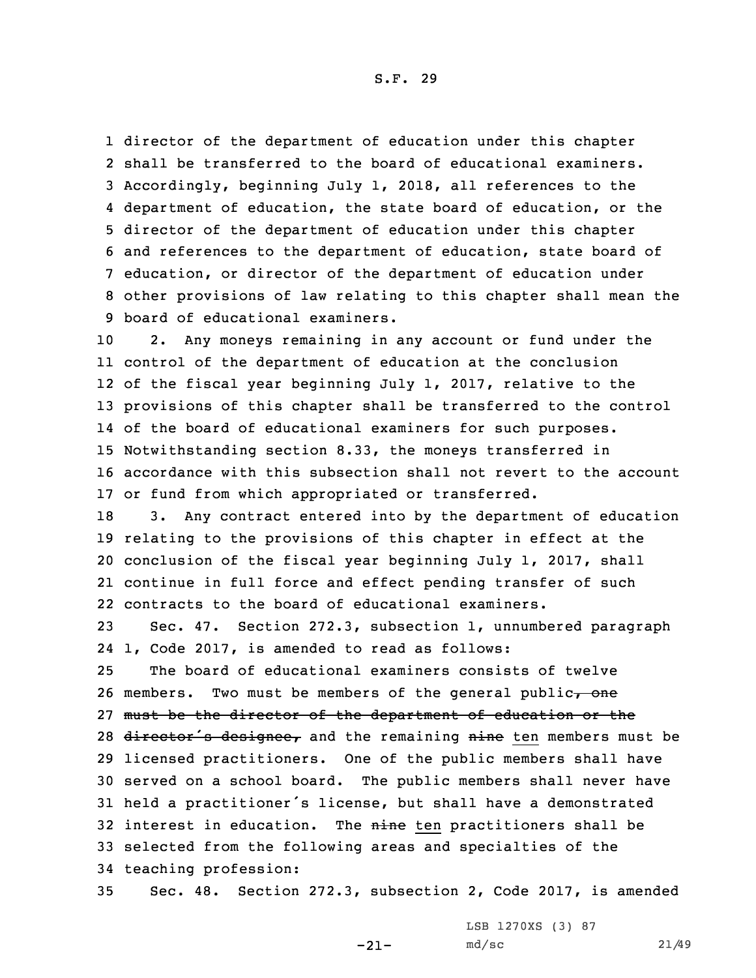director of the department of education under this chapter shall be transferred to the board of educational examiners. Accordingly, beginning July 1, 2018, all references to the department of education, the state board of education, or the director of the department of education under this chapter and references to the department of education, state board of education, or director of the department of education under other provisions of law relating to this chapter shall mean the board of educational examiners.

 2. Any moneys remaining in any account or fund under the control of the department of education at the conclusion of the fiscal year beginning July 1, 2017, relative to the provisions of this chapter shall be transferred to the control of the board of educational examiners for such purposes. Notwithstanding section 8.33, the moneys transferred in accordance with this subsection shall not revert to the account or fund from which appropriated or transferred.

 3. Any contract entered into by the department of education relating to the provisions of this chapter in effect at the conclusion of the fiscal year beginning July 1, 2017, shall continue in full force and effect pending transfer of such contracts to the board of educational examiners.

23 Sec. 47. Section 272.3, subsection 1, unnumbered paragraph 24 1, Code 2017, is amended to read as follows:

25 The board of educational examiners consists of twelve 26 members. Two must be members of the general public $\tau$  one 27 must be the director of the department of education or the 28 director's designee, and the remaining nine ten members must be 29 licensed practitioners. One of the public members shall have 30 served on <sup>a</sup> school board. The public members shall never have <sup>31</sup> held <sup>a</sup> practitioner's license, but shall have <sup>a</sup> demonstrated 32 interest in education. The nine ten practitioners shall be 33 selected from the following areas and specialties of the 34 teaching profession:

35 Sec. 48. Section 272.3, subsection 2, Code 2017, is amended

-21-

LSB 1270XS (3) 87 md/sc 21/49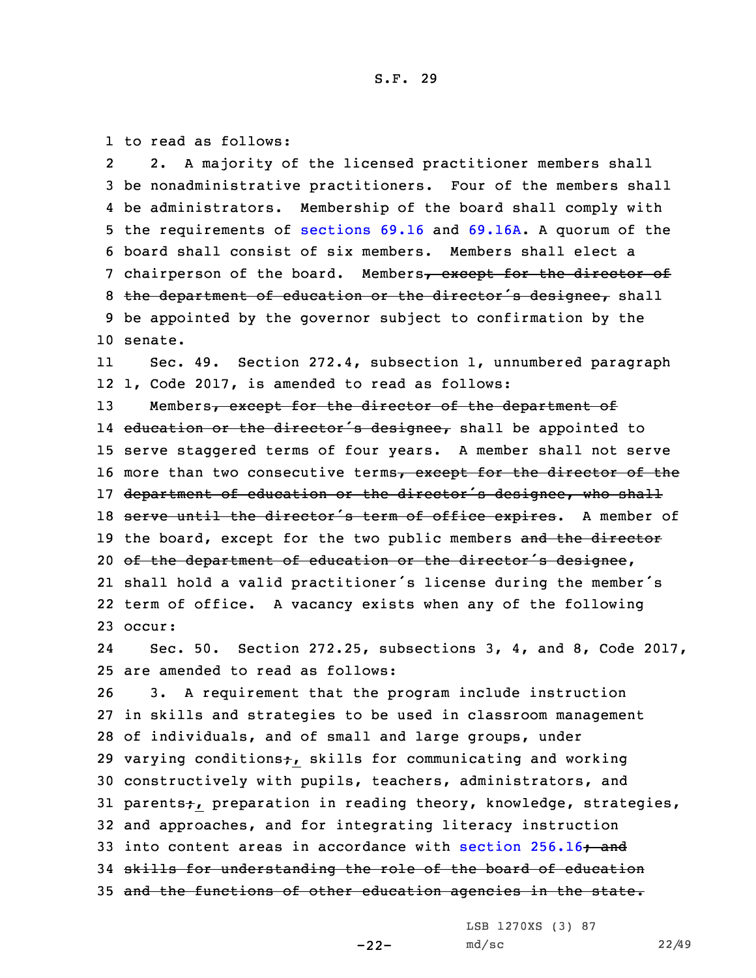1 to read as follows:

2 2. <sup>A</sup> majority of the licensed practitioner members shall 3 be nonadministrative practitioners. Four of the members shall 4 be administrators. Membership of the board shall comply with 5 the requirements of [sections](https://www.legis.iowa.gov/docs/code/2017/69.16.pdf) 69.16 and [69.16A](https://www.legis.iowa.gov/docs/code/2017/69.16A.pdf). <sup>A</sup> quorum of the 6 board shall consist of six members. Members shall elect <sup>a</sup> 7 chairperson of the board. Members, except for the director of 8 the department of education or the director's designee, shall 9 be appointed by the governor subject to confirmation by the 10 senate.

11 Sec. 49. Section 272.4, subsection 1, unnumbered paragraph 12 1, Code 2017, is amended to read as follows:

13 Members, except for the director of the department of 14 e<del>ducation or the director's designee,</del> shall be appointed to 15 serve staggered terms of four years. <sup>A</sup> member shall not serve 16 more than two consecutive terms, except for the director of the 17 department of education or the director's designee, who shall 18 serve until the director's term of office expires. A member of 19 the board, except for the two public members and the director 20 of the department of education or the director's designee, 21 shall hold <sup>a</sup> valid practitioner's license during the member's 22 term of office. <sup>A</sup> vacancy exists when any of the following 23 occur:

24 Sec. 50. Section 272.25, subsections 3, 4, and 8, Code 2017, 25 are amended to read as follows:

26 3. <sup>A</sup> requirement that the program include instruction 27 in skills and strategies to be used in classroom management 28 of individuals, and of small and large groups, under 29 varying conditions<sub>t</sub>, skills for communicating and working 30 constructively with pupils, teachers, administrators, and 31 parents;, preparation in reading theory, knowledge, strategies, 32 and approaches, and for integrating literacy instruction 33 into content areas in accordance with section  $256.16 \rightarrow$  $256.16 \rightarrow$  and 34 skills for understanding the role of the board of education 35 and the functions of other education agencies in the state.

-22-

LSB 1270XS (3) 87 md/sc 22/49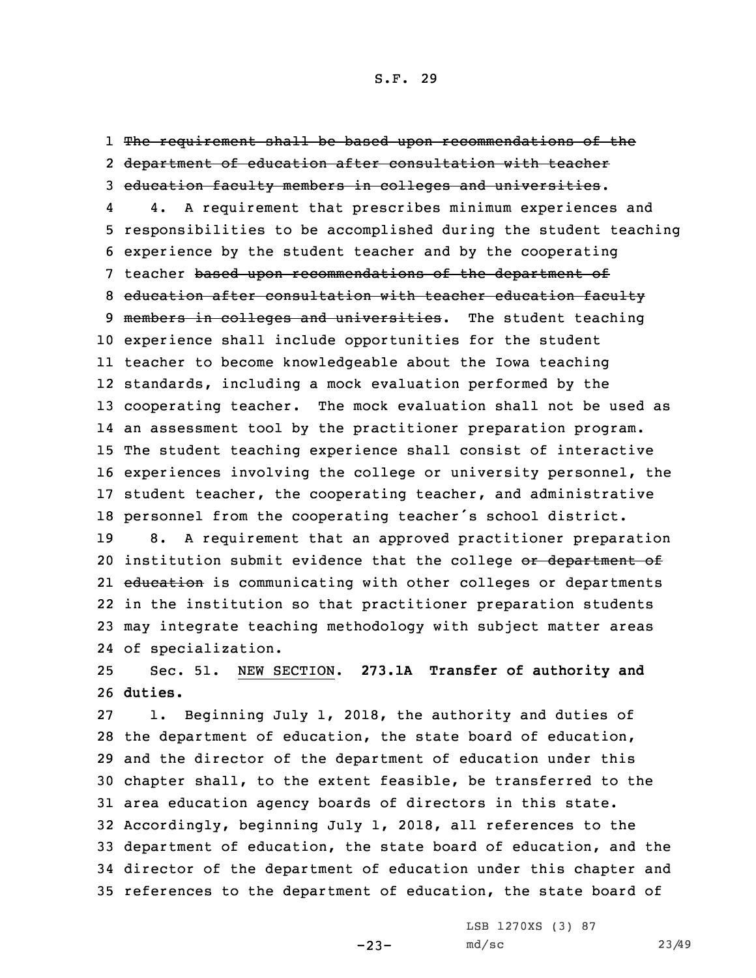1 The requirement shall be based upon recommendations of the 2 department of education after consultation with teacher 3 education faculty members in colleges and universities.

4 4. <sup>A</sup> requirement that prescribes minimum experiences and responsibilities to be accomplished during the student teaching experience by the student teacher and by the cooperating teacher based upon recommendations of the department of education after consultation with teacher education faculty 9 members in colleges and universities. The student teaching experience shall include opportunities for the student teacher to become knowledgeable about the Iowa teaching standards, including <sup>a</sup> mock evaluation performed by the cooperating teacher. The mock evaluation shall not be used as an assessment tool by the practitioner preparation program. The student teaching experience shall consist of interactive experiences involving the college or university personnel, the student teacher, the cooperating teacher, and administrative personnel from the cooperating teacher's school district.

 8. <sup>A</sup> requirement that an approved practitioner preparation 20 institution submit evidence that the college or department of 21 <del>education</del> is communicating with other colleges or departments in the institution so that practitioner preparation students may integrate teaching methodology with subject matter areas of specialization.

25 Sec. 51. NEW SECTION. **273.1A Transfer of authority and** 26 **duties.**

 1. Beginning July 1, 2018, the authority and duties of the department of education, the state board of education, and the director of the department of education under this chapter shall, to the extent feasible, be transferred to the area education agency boards of directors in this state. Accordingly, beginning July 1, 2018, all references to the department of education, the state board of education, and the director of the department of education under this chapter and references to the department of education, the state board of

-23-

LSB 1270XS (3) 87 md/sc 23/49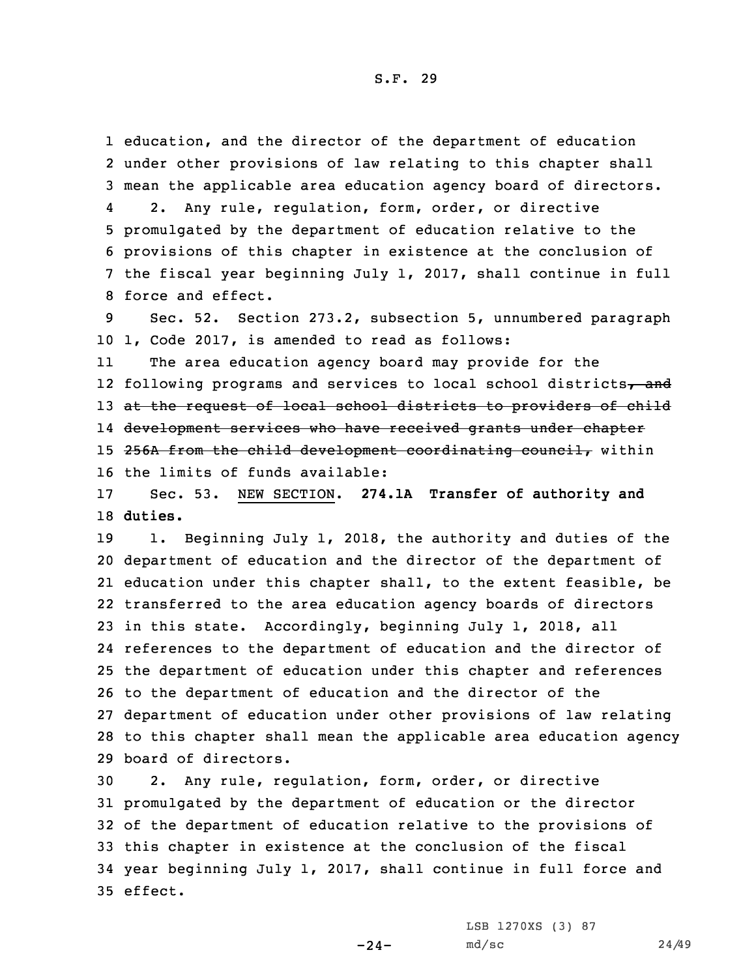1 education, and the director of the department of education 2 under other provisions of law relating to this chapter shall 3 mean the applicable area education agency board of directors.

4 2. Any rule, regulation, form, order, or directive promulgated by the department of education relative to the provisions of this chapter in existence at the conclusion of the fiscal year beginning July 1, 2017, shall continue in full force and effect.

9 Sec. 52. Section 273.2, subsection 5, unnumbered paragraph 10 1, Code 2017, is amended to read as follows:

11 The area education agency board may provide for the 12 following programs and services to local school districts<del>, and</del> 13 at the request of local school districts to providers of child 14 development services who have received grants under chapter 15 256A from the child development coordinating council, within 16 the limits of funds available:

17 Sec. 53. NEW SECTION. **274.1A Transfer of authority and** 18 **duties.**

 1. Beginning July 1, 2018, the authority and duties of the department of education and the director of the department of education under this chapter shall, to the extent feasible, be transferred to the area education agency boards of directors in this state. Accordingly, beginning July 1, 2018, all references to the department of education and the director of the department of education under this chapter and references to the department of education and the director of the department of education under other provisions of law relating to this chapter shall mean the applicable area education agency board of directors.

 2. Any rule, regulation, form, order, or directive promulgated by the department of education or the director of the department of education relative to the provisions of this chapter in existence at the conclusion of the fiscal year beginning July 1, 2017, shall continue in full force and 35 effect.

 $-24-$ 

LSB 1270XS (3) 87 md/sc 24/49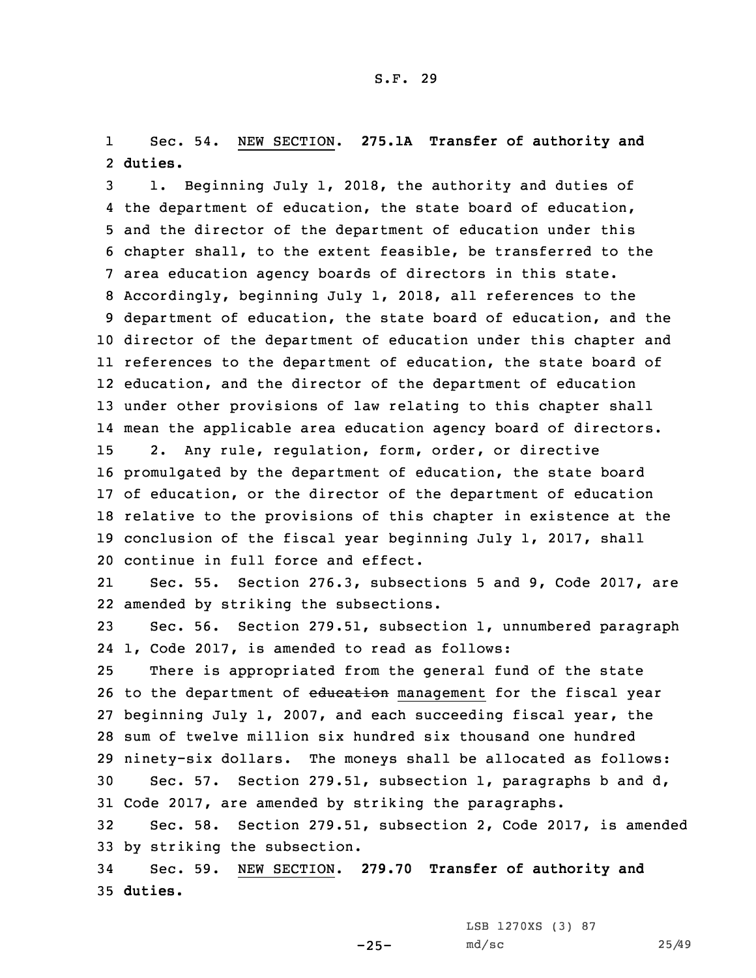1 Sec. 54. NEW SECTION. **275.1A Transfer of authority and** 2 **duties.**

 1. Beginning July 1, 2018, the authority and duties of the department of education, the state board of education, and the director of the department of education under this chapter shall, to the extent feasible, be transferred to the area education agency boards of directors in this state. Accordingly, beginning July 1, 2018, all references to the department of education, the state board of education, and the director of the department of education under this chapter and references to the department of education, the state board of education, and the director of the department of education under other provisions of law relating to this chapter shall mean the applicable area education agency board of directors. 2. Any rule, regulation, form, order, or directive promulgated by the department of education, the state board of education, or the director of the department of education relative to the provisions of this chapter in existence at the conclusion of the fiscal year beginning July 1, 2017, shall continue in full force and effect.

21 Sec. 55. Section 276.3, subsections 5 and 9, Code 2017, are 22 amended by striking the subsections.

23 Sec. 56. Section 279.51, subsection 1, unnumbered paragraph 24 1, Code 2017, is amended to read as follows:

 There is appropriated from the general fund of the state 26 to the department of education management for the fiscal year beginning July 1, 2007, and each succeeding fiscal year, the sum of twelve million six hundred six thousand one hundred ninety-six dollars. The moneys shall be allocated as follows: Sec. 57. Section 279.51, subsection 1, paragraphs b and d, Code 2017, are amended by striking the paragraphs.

32 Sec. 58. Section 279.51, subsection 2, Code 2017, is amended 33 by striking the subsection.

34 Sec. 59. NEW SECTION. **279.70 Transfer of authority and** 35 **duties.**

LSB 1270XS (3) 87

 $-25-$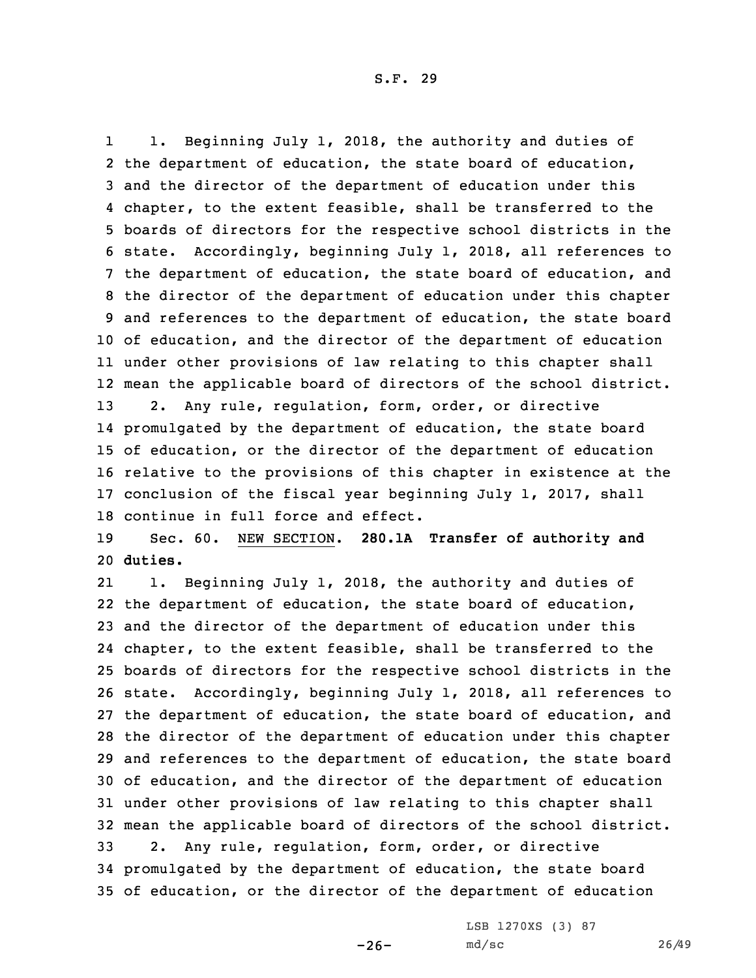1 1. Beginning July 1, 2018, the authority and duties of the department of education, the state board of education, and the director of the department of education under this chapter, to the extent feasible, shall be transferred to the boards of directors for the respective school districts in the state. Accordingly, beginning July 1, 2018, all references to the department of education, the state board of education, and the director of the department of education under this chapter and references to the department of education, the state board of education, and the director of the department of education under other provisions of law relating to this chapter shall mean the applicable board of directors of the school district. 2. Any rule, regulation, form, order, or directive promulgated by the department of education, the state board of education, or the director of the department of education relative to the provisions of this chapter in existence at the conclusion of the fiscal year beginning July 1, 2017, shall continue in full force and effect.

19 Sec. 60. NEW SECTION. **280.1A Transfer of authority and** 20 **duties.**

21 1. Beginning July 1, 2018, the authority and duties of the department of education, the state board of education, and the director of the department of education under this chapter, to the extent feasible, shall be transferred to the boards of directors for the respective school districts in the state. Accordingly, beginning July 1, 2018, all references to the department of education, the state board of education, and the director of the department of education under this chapter and references to the department of education, the state board of education, and the director of the department of education under other provisions of law relating to this chapter shall mean the applicable board of directors of the school district. 2. Any rule, regulation, form, order, or directive promulgated by the department of education, the state board of education, or the director of the department of education

 $-26-$ 

LSB 1270XS (3) 87 md/sc 26/49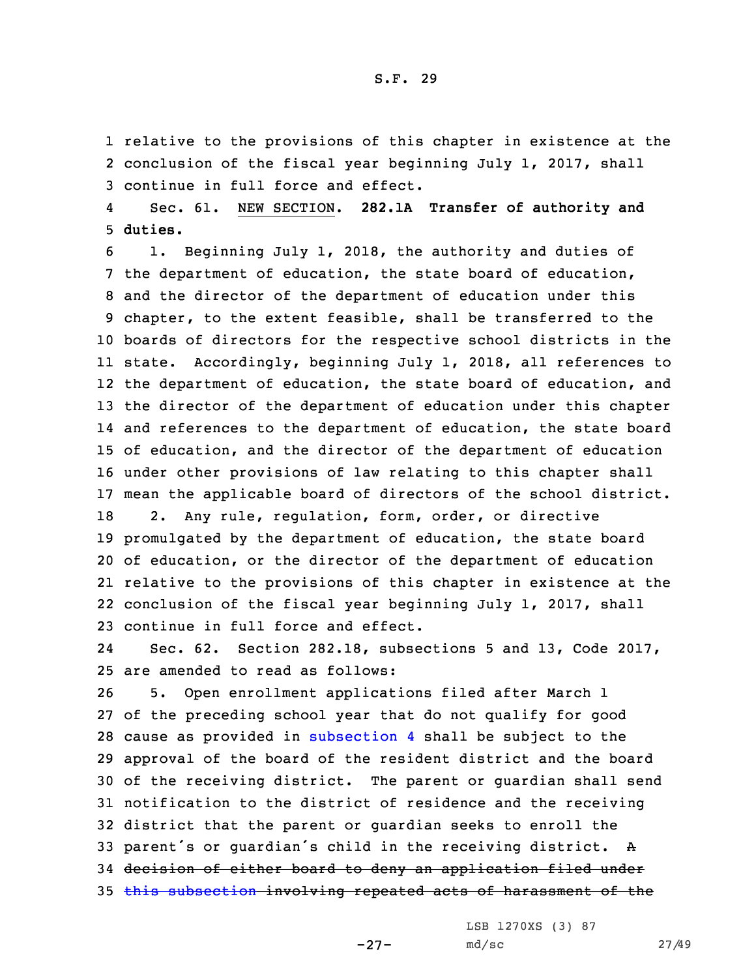1 relative to the provisions of this chapter in existence at the 2 conclusion of the fiscal year beginning July 1, 2017, shall 3 continue in full force and effect.

4 Sec. 61. NEW SECTION. **282.1A Transfer of authority and** 5 **duties.**

 1. Beginning July 1, 2018, the authority and duties of the department of education, the state board of education, and the director of the department of education under this chapter, to the extent feasible, shall be transferred to the boards of directors for the respective school districts in the state. Accordingly, beginning July 1, 2018, all references to the department of education, the state board of education, and the director of the department of education under this chapter and references to the department of education, the state board of education, and the director of the department of education under other provisions of law relating to this chapter shall mean the applicable board of directors of the school district. 2. Any rule, regulation, form, order, or directive promulgated by the department of education, the state board of education, or the director of the department of education relative to the provisions of this chapter in existence at the conclusion of the fiscal year beginning July 1, 2017, shall continue in full force and effect.

24 Sec. 62. Section 282.18, subsections 5 and 13, Code 2017, 25 are amended to read as follows:

 5. Open enrollment applications filed after March 1 of the preceding school year that do not qualify for good cause as provided in [subsection](https://www.legis.iowa.gov/docs/code/2017/282.18.pdf) 4 shall be subject to the approval of the board of the resident district and the board of the receiving district. The parent or guardian shall send notification to the district of residence and the receiving district that the parent or guardian seeks to enroll the parent's or guardian's child in the receiving district. <sup>A</sup> decision of either board to deny an application filed under 35 this [subsection](https://www.legis.iowa.gov/docs/code/2017/282.18.pdf) involving repeated acts of harassment of the

> LSB 1270XS (3) 87 md/sc 27/49

-27-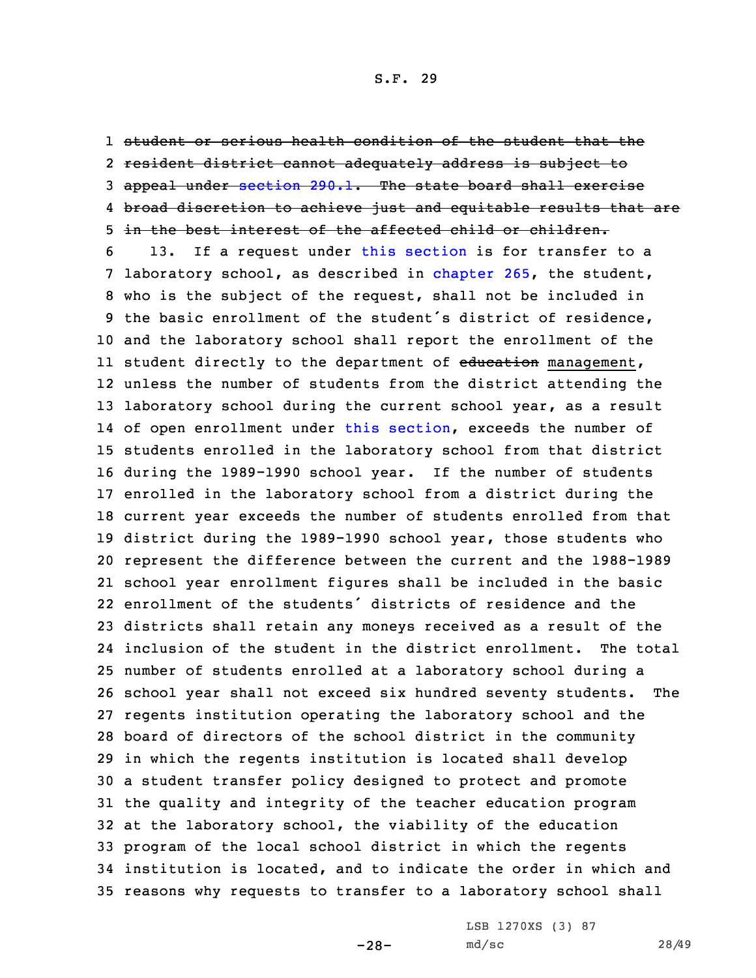1 student or serious health condition of the student that the 2 resident district cannot adequately address is subject to 3 appeal under [section](https://www.legis.iowa.gov/docs/code/2017/290.1.pdf) 290.1. The state board shall exercise 4 broad discretion to achieve just and equitable results that are 5 in the best interest of the affected child or children.

 13. If <sup>a</sup> request under this [section](https://www.legis.iowa.gov/docs/code/2017/282.18.pdf) is for transfer to <sup>a</sup> laboratory school, as described in [chapter](https://www.legis.iowa.gov/docs/code/2017/265.pdf) 265, the student, who is the subject of the request, shall not be included in the basic enrollment of the student's district of residence, and the laboratory school shall report the enrollment of the ll student directly to the department of <del>education</del> management, unless the number of students from the district attending the laboratory school during the current school year, as <sup>a</sup> result of open enrollment under this [section](https://www.legis.iowa.gov/docs/code/2017/282.18.pdf), exceeds the number of students enrolled in the laboratory school from that district during the 1989-1990 school year. If the number of students enrolled in the laboratory school from <sup>a</sup> district during the current year exceeds the number of students enrolled from that district during the 1989-1990 school year, those students who represent the difference between the current and the 1988-1989 school year enrollment figures shall be included in the basic enrollment of the students' districts of residence and the districts shall retain any moneys received as <sup>a</sup> result of the inclusion of the student in the district enrollment. The total number of students enrolled at <sup>a</sup> laboratory school during <sup>a</sup> school year shall not exceed six hundred seventy students. The regents institution operating the laboratory school and the board of directors of the school district in the community in which the regents institution is located shall develop <sup>a</sup> student transfer policy designed to protect and promote the quality and integrity of the teacher education program at the laboratory school, the viability of the education program of the local school district in which the regents institution is located, and to indicate the order in which and reasons why requests to transfer to <sup>a</sup> laboratory school shall

-28-

LSB 1270XS (3) 87 md/sc 28/49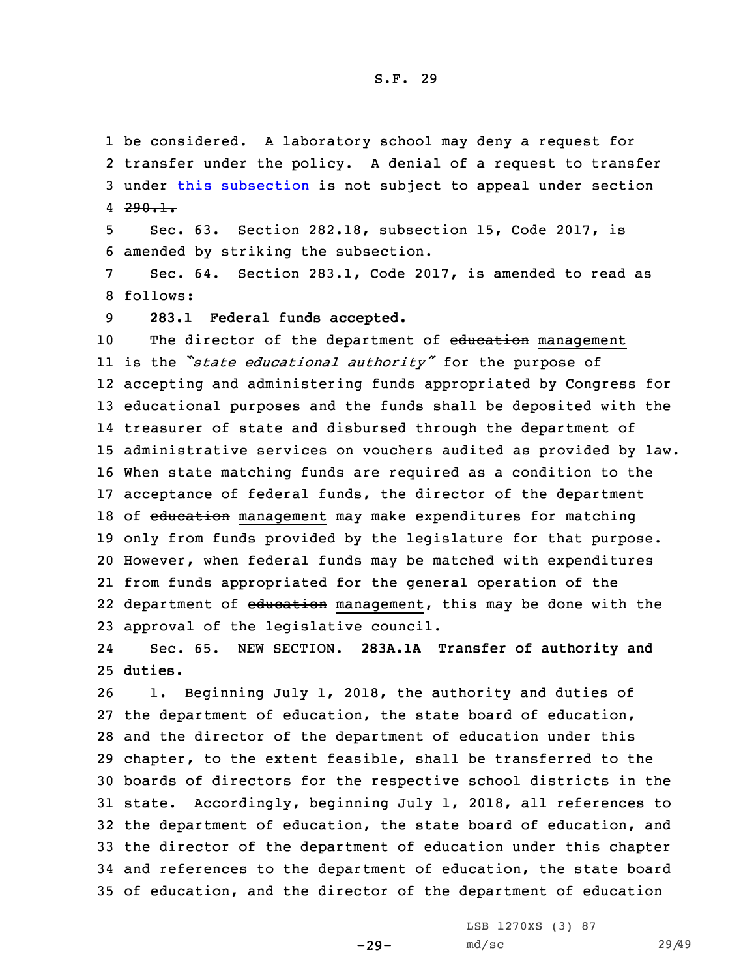1 be considered. <sup>A</sup> laboratory school may deny <sup>a</sup> request for 2 transfer under the policy. A denial of a request to transfer 3 under this [subsection](https://www.legis.iowa.gov/docs/code/2017/282.18.pdf) is not subject to appeal under section 4 <del>290.1</del>.

5 Sec. 63. Section 282.18, subsection 15, Code 2017, is 6 amended by striking the subsection.

7 Sec. 64. Section 283.1, Code 2017, is amended to read as 8 follows:

9 **283.1 Federal funds accepted.**

10 The director of the department of education management is the *"state educational authority"* for the purpose of accepting and administering funds appropriated by Congress for educational purposes and the funds shall be deposited with the treasurer of state and disbursed through the department of administrative services on vouchers audited as provided by law. When state matching funds are required as <sup>a</sup> condition to the acceptance of federal funds, the director of the department 18 of education management may make expenditures for matching only from funds provided by the legislature for that purpose. However, when federal funds may be matched with expenditures from funds appropriated for the general operation of the 22 department of <del>education</del> management, this may be done with the approval of the legislative council.

24 Sec. 65. NEW SECTION. **283A.1A Transfer of authority and** 25 **duties.**

 1. Beginning July 1, 2018, the authority and duties of the department of education, the state board of education, and the director of the department of education under this chapter, to the extent feasible, shall be transferred to the boards of directors for the respective school districts in the state. Accordingly, beginning July 1, 2018, all references to the department of education, the state board of education, and the director of the department of education under this chapter and references to the department of education, the state board of education, and the director of the department of education

 $-29-$ 

LSB 1270XS (3) 87 md/sc 29/49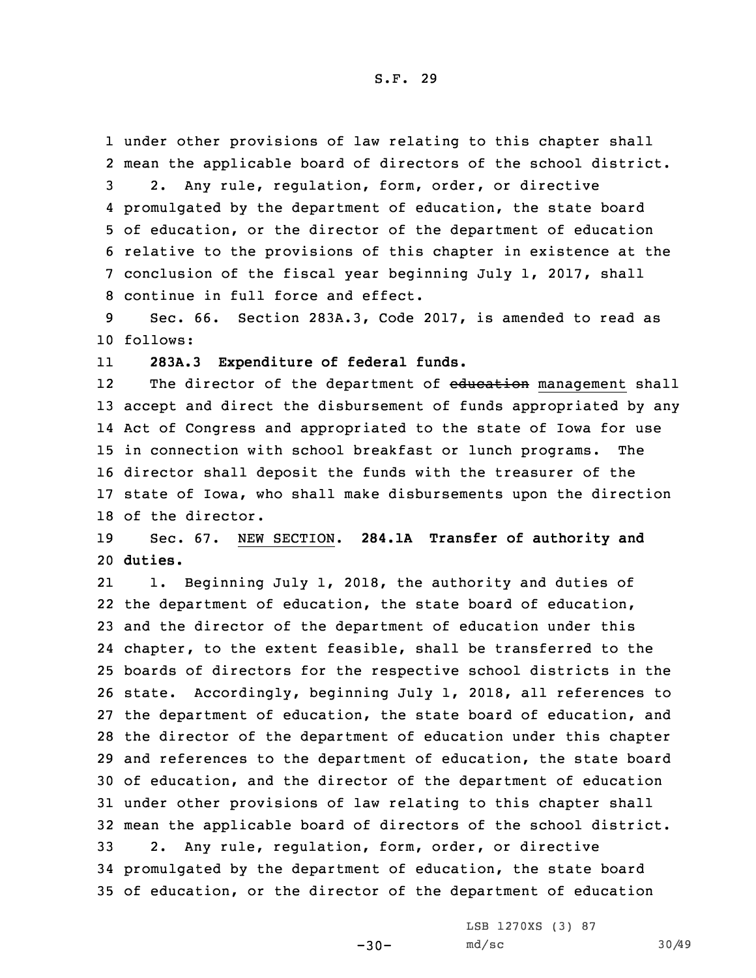under other provisions of law relating to this chapter shall mean the applicable board of directors of the school district. 2. Any rule, regulation, form, order, or directive promulgated by the department of education, the state board of education, or the director of the department of education relative to the provisions of this chapter in existence at the conclusion of the fiscal year beginning July 1, 2017, shall continue in full force and effect.

9 Sec. 66. Section 283A.3, Code 2017, is amended to read as 10 follows:

11**283A.3 Expenditure of federal funds.**

12The director of the department of education management shall accept and direct the disbursement of funds appropriated by any Act of Congress and appropriated to the state of Iowa for use in connection with school breakfast or lunch programs. The director shall deposit the funds with the treasurer of the state of Iowa, who shall make disbursements upon the direction of the director.

19 Sec. 67. NEW SECTION. **284.1A Transfer of authority and** 20 **duties.**

21 1. Beginning July 1, 2018, the authority and duties of the department of education, the state board of education, and the director of the department of education under this chapter, to the extent feasible, shall be transferred to the boards of directors for the respective school districts in the state. Accordingly, beginning July 1, 2018, all references to the department of education, the state board of education, and the director of the department of education under this chapter and references to the department of education, the state board of education, and the director of the department of education under other provisions of law relating to this chapter shall mean the applicable board of directors of the school district. 2. Any rule, regulation, form, order, or directive promulgated by the department of education, the state board of education, or the director of the department of education

 $-30-$ 

LSB 1270XS (3) 87 md/sc 30/49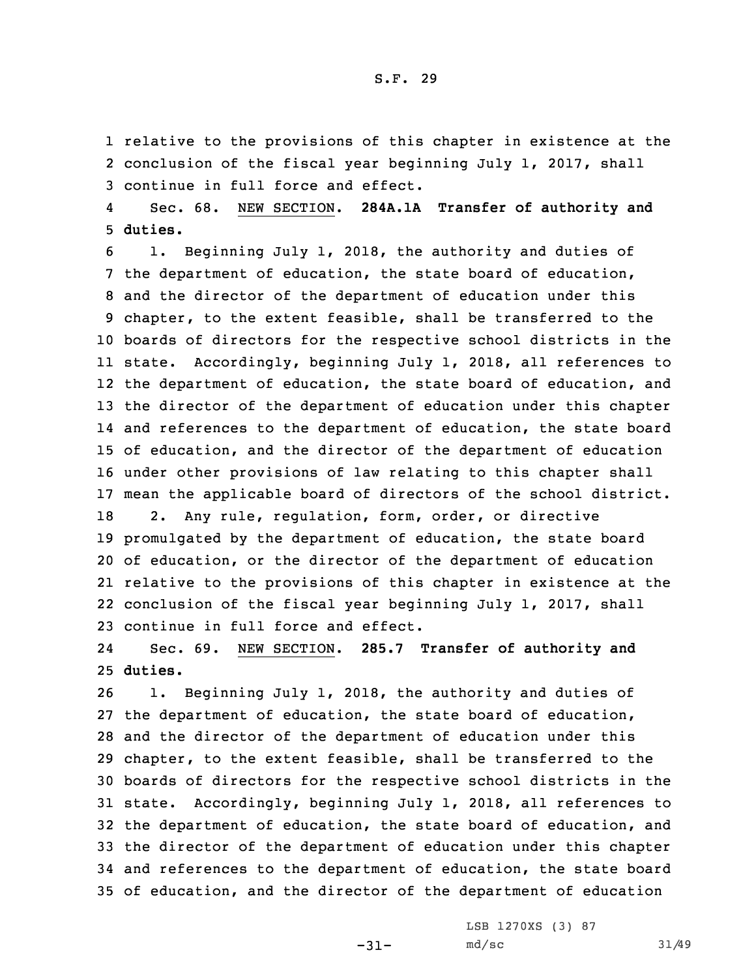1 relative to the provisions of this chapter in existence at the 2 conclusion of the fiscal year beginning July 1, 2017, shall 3 continue in full force and effect.

4 Sec. 68. NEW SECTION. **284A.1A Transfer of authority and** 5 **duties.**

 1. Beginning July 1, 2018, the authority and duties of the department of education, the state board of education, and the director of the department of education under this chapter, to the extent feasible, shall be transferred to the boards of directors for the respective school districts in the state. Accordingly, beginning July 1, 2018, all references to the department of education, the state board of education, and the director of the department of education under this chapter and references to the department of education, the state board of education, and the director of the department of education under other provisions of law relating to this chapter shall mean the applicable board of directors of the school district. 2. Any rule, regulation, form, order, or directive promulgated by the department of education, the state board of education, or the director of the department of education relative to the provisions of this chapter in existence at the conclusion of the fiscal year beginning July 1, 2017, shall continue in full force and effect.

24 Sec. 69. NEW SECTION. **285.7 Transfer of authority and** 25 **duties.**

 1. Beginning July 1, 2018, the authority and duties of the department of education, the state board of education, and the director of the department of education under this chapter, to the extent feasible, shall be transferred to the boards of directors for the respective school districts in the state. Accordingly, beginning July 1, 2018, all references to the department of education, the state board of education, and the director of the department of education under this chapter and references to the department of education, the state board of education, and the director of the department of education

-31-

LSB 1270XS (3) 87 md/sc 31/49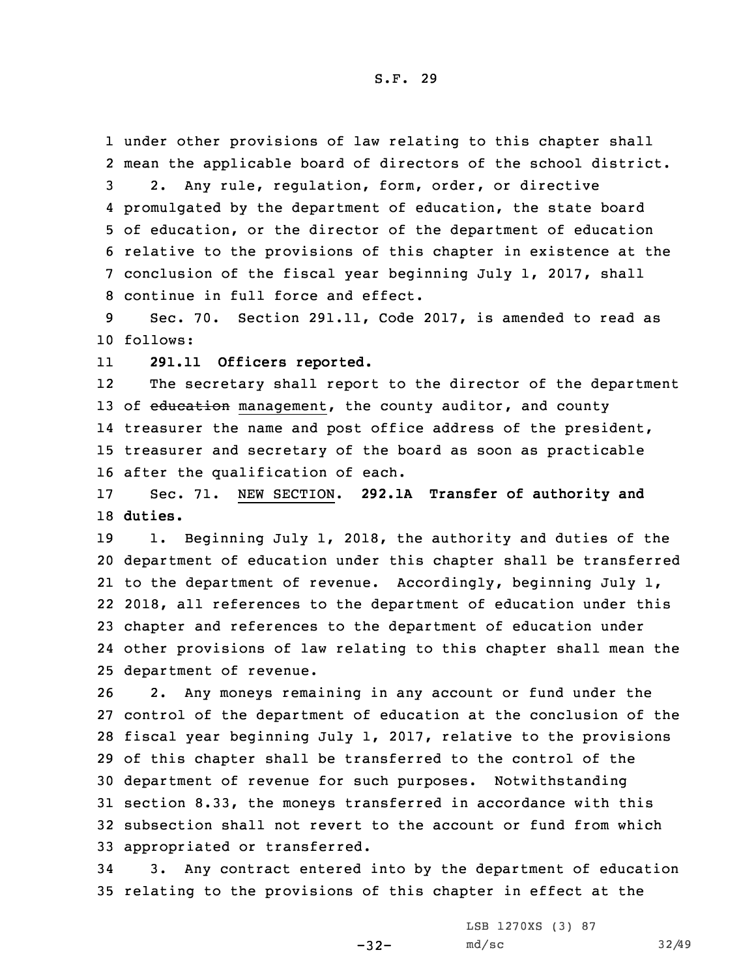under other provisions of law relating to this chapter shall mean the applicable board of directors of the school district. 2. Any rule, regulation, form, order, or directive promulgated by the department of education, the state board of education, or the director of the department of education relative to the provisions of this chapter in existence at the conclusion of the fiscal year beginning July 1, 2017, shall continue in full force and effect.

9 Sec. 70. Section 291.11, Code 2017, is amended to read as 10 follows:

11**291.11 Officers reported.**

12The secretary shall report to the director of the department 13 of education management, the county auditor, and county 14 treasurer the name and post office address of the president, 15 treasurer and secretary of the board as soon as practicable 16 after the qualification of each.

17 Sec. 71. NEW SECTION. **292.1A Transfer of authority and** 18 **duties.**

 1. Beginning July 1, 2018, the authority and duties of the department of education under this chapter shall be transferred to the department of revenue. Accordingly, beginning July 1, 2018, all references to the department of education under this chapter and references to the department of education under other provisions of law relating to this chapter shall mean the department of revenue.

 2. Any moneys remaining in any account or fund under the control of the department of education at the conclusion of the fiscal year beginning July 1, 2017, relative to the provisions of this chapter shall be transferred to the control of the department of revenue for such purposes. Notwithstanding section 8.33, the moneys transferred in accordance with this subsection shall not revert to the account or fund from which appropriated or transferred.

34 3. Any contract entered into by the department of education 35 relating to the provisions of this chapter in effect at the

 $-32-$ 

LSB 1270XS (3) 87 md/sc 32/49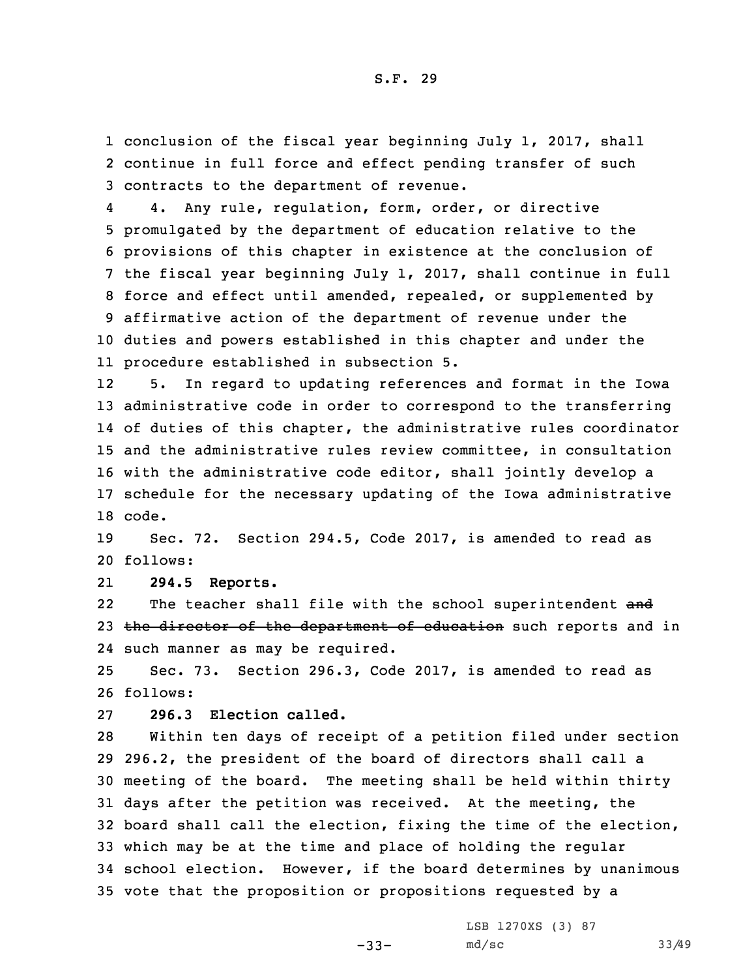1 conclusion of the fiscal year beginning July 1, 2017, shall 2 continue in full force and effect pending transfer of such 3 contracts to the department of revenue.

4 4. Any rule, regulation, form, order, or directive promulgated by the department of education relative to the provisions of this chapter in existence at the conclusion of the fiscal year beginning July 1, 2017, shall continue in full force and effect until amended, repealed, or supplemented by affirmative action of the department of revenue under the duties and powers established in this chapter and under the procedure established in subsection 5.

12 5. In regard to updating references and format in the Iowa administrative code in order to correspond to the transferring of duties of this chapter, the administrative rules coordinator and the administrative rules review committee, in consultation with the administrative code editor, shall jointly develop <sup>a</sup> schedule for the necessary updating of the Iowa administrative 18 code.

19 Sec. 72. Section 294.5, Code 2017, is amended to read as 20 follows:

21**294.5 Reports.**

22The teacher shall file with the school superintendent and 23 the director of the department of education such reports and in 24 such manner as may be required.

25 Sec. 73. Section 296.3, Code 2017, is amended to read as 26 follows:

27 **296.3 Election called.**

 Within ten days of receipt of <sup>a</sup> petition filed under section 296.2, the president of the board of directors shall call <sup>a</sup> meeting of the board. The meeting shall be held within thirty days after the petition was received. At the meeting, the board shall call the election, fixing the time of the election, which may be at the time and place of holding the regular school election. However, if the board determines by unanimous vote that the proposition or propositions requested by <sup>a</sup>

> LSB 1270XS (3) 87 md/sc 33/49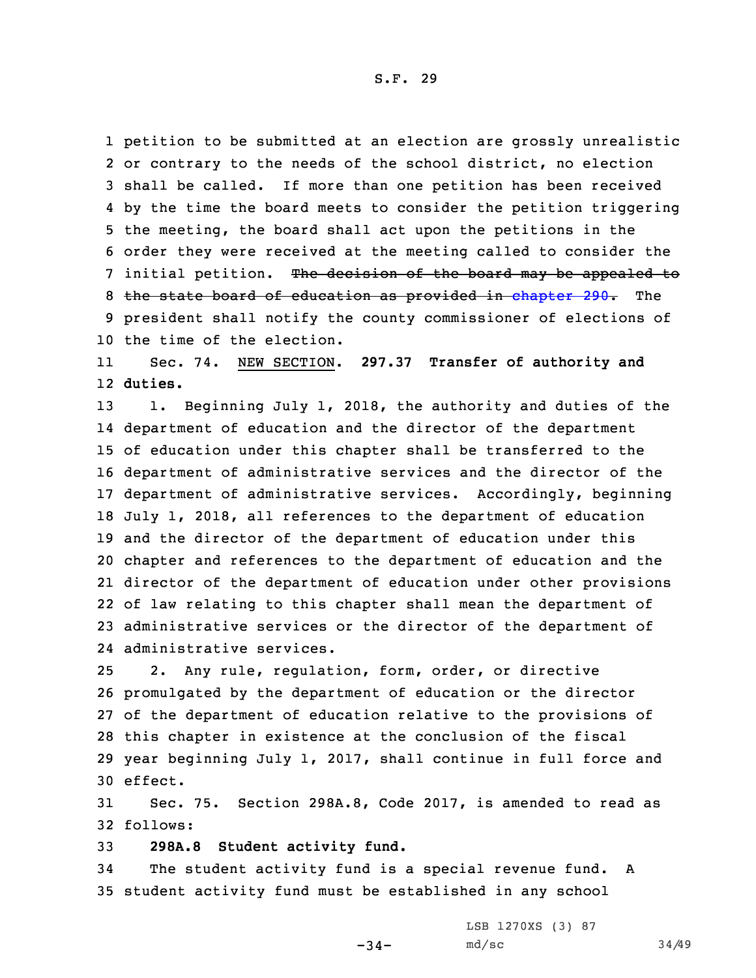petition to be submitted at an election are grossly unrealistic or contrary to the needs of the school district, no election shall be called. If more than one petition has been received by the time the board meets to consider the petition triggering the meeting, the board shall act upon the petitions in the order they were received at the meeting called to consider the 7 initial petition. The decision of the board may be appealed to 8 the state board of education as provided in [chapter](https://www.legis.iowa.gov/docs/code/2017/290.pdf) 290. The president shall notify the county commissioner of elections of the time of the election.

11 Sec. 74. NEW SECTION. **297.37 Transfer of authority and** 12 **duties.**

 1. Beginning July 1, 2018, the authority and duties of the department of education and the director of the department of education under this chapter shall be transferred to the department of administrative services and the director of the department of administrative services. Accordingly, beginning July 1, 2018, all references to the department of education and the director of the department of education under this chapter and references to the department of education and the director of the department of education under other provisions of law relating to this chapter shall mean the department of administrative services or the director of the department of administrative services.

 2. Any rule, regulation, form, order, or directive promulgated by the department of education or the director of the department of education relative to the provisions of this chapter in existence at the conclusion of the fiscal year beginning July 1, 2017, shall continue in full force and 30 effect.

31 Sec. 75. Section 298A.8, Code 2017, is amended to read as 32 follows:

33 **298A.8 Student activity fund.**

34 The student activity fund is <sup>a</sup> special revenue fund. <sup>A</sup> 35 student activity fund must be established in any school

 $-34-$ 

LSB 1270XS (3) 87 md/sc 34/49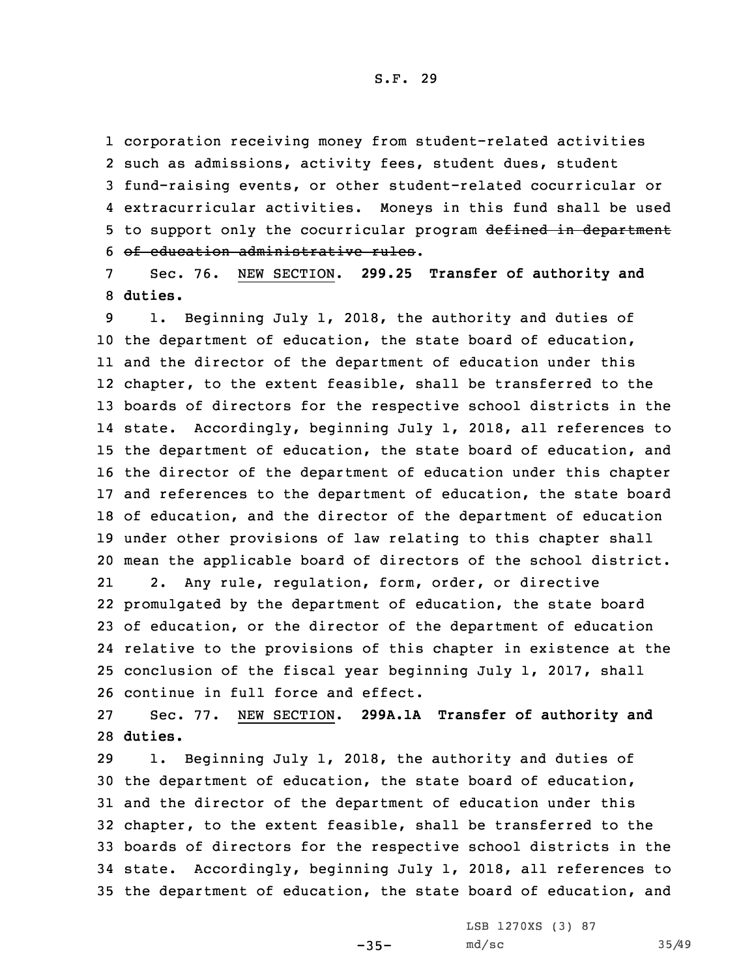corporation receiving money from student-related activities such as admissions, activity fees, student dues, student fund-raising events, or other student-related cocurricular or extracurricular activities. Moneys in this fund shall be used 5 to support only the cocurricular program defined in department of education administrative rules.

7 Sec. 76. NEW SECTION. **299.25 Transfer of authority and** 8 **duties.**

 1. Beginning July 1, 2018, the authority and duties of the department of education, the state board of education, and the director of the department of education under this 12 chapter, to the extent feasible, shall be transferred to the boards of directors for the respective school districts in the state. Accordingly, beginning July 1, 2018, all references to the department of education, the state board of education, and the director of the department of education under this chapter and references to the department of education, the state board of education, and the director of the department of education under other provisions of law relating to this chapter shall mean the applicable board of directors of the school district. 21 2. Any rule, regulation, form, order, or directive promulgated by the department of education, the state board of education, or the director of the department of education relative to the provisions of this chapter in existence at the conclusion of the fiscal year beginning July 1, 2017, shall continue in full force and effect.

27 Sec. 77. NEW SECTION. **299A.1A Transfer of authority and** 28 **duties.**

 1. Beginning July 1, 2018, the authority and duties of the department of education, the state board of education, and the director of the department of education under this chapter, to the extent feasible, shall be transferred to the boards of directors for the respective school districts in the state. Accordingly, beginning July 1, 2018, all references to the department of education, the state board of education, and

 $-35-$ 

LSB 1270XS (3) 87 md/sc 35/49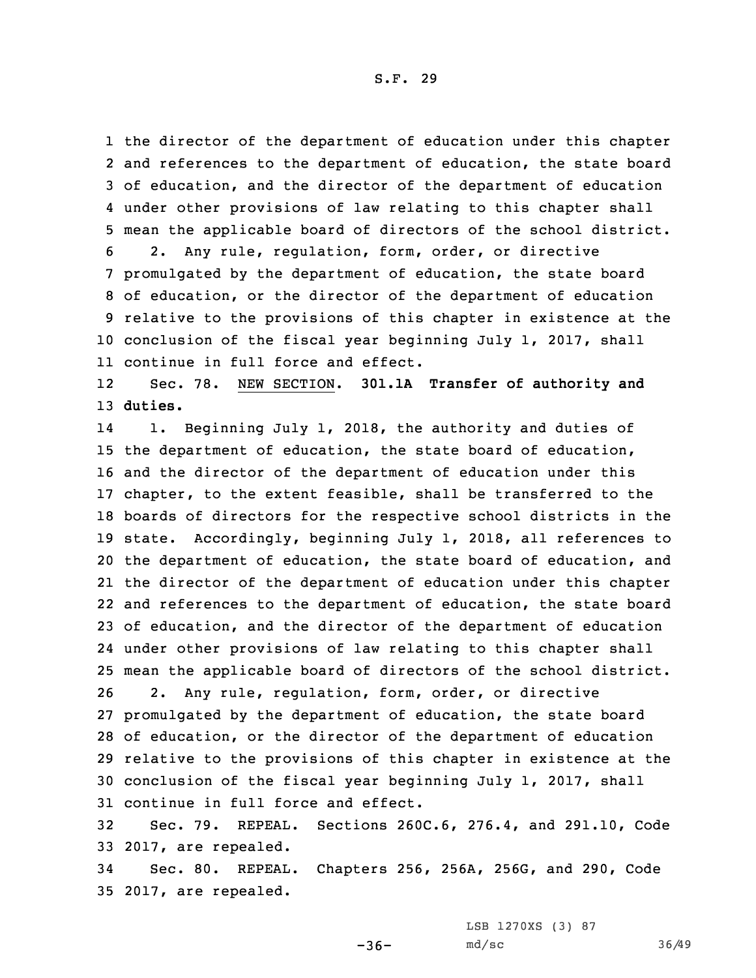the director of the department of education under this chapter and references to the department of education, the state board of education, and the director of the department of education under other provisions of law relating to this chapter shall mean the applicable board of directors of the school district. 2. Any rule, regulation, form, order, or directive promulgated by the department of education, the state board of education, or the director of the department of education relative to the provisions of this chapter in existence at the conclusion of the fiscal year beginning July 1, 2017, shall continue in full force and effect.

12 Sec. 78. NEW SECTION. **301.1A Transfer of authority and** 13 **duties.**

14 1. Beginning July 1, 2018, the authority and duties of the department of education, the state board of education, and the director of the department of education under this chapter, to the extent feasible, shall be transferred to the boards of directors for the respective school districts in the state. Accordingly, beginning July 1, 2018, all references to the department of education, the state board of education, and the director of the department of education under this chapter and references to the department of education, the state board of education, and the director of the department of education under other provisions of law relating to this chapter shall mean the applicable board of directors of the school district. 2. Any rule, regulation, form, order, or directive promulgated by the department of education, the state board of education, or the director of the department of education relative to the provisions of this chapter in existence at the conclusion of the fiscal year beginning July 1, 2017, shall continue in full force and effect.

32 Sec. 79. REPEAL. Sections 260C.6, 276.4, and 291.10, Code 33 2017, are repealed.

34 Sec. 80. REPEAL. Chapters 256, 256A, 256G, and 290, Code 35 2017, are repealed.

LSB 1270XS (3) 87

 $-36-$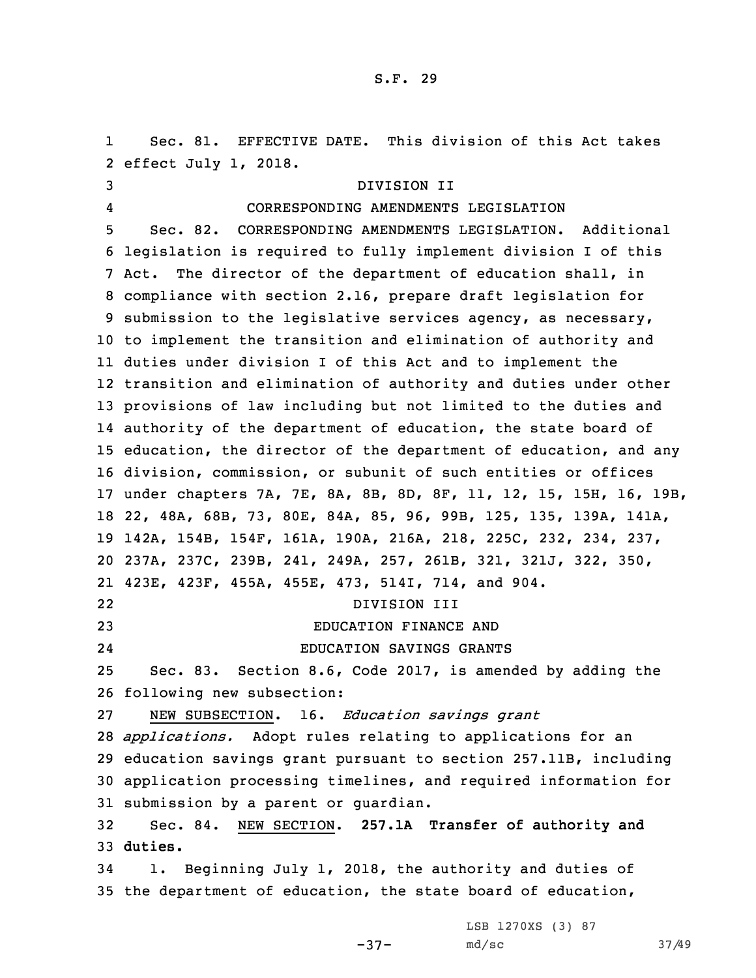1 Sec. 81. EFFECTIVE DATE. This division of this Act takes effect July 1, 2018. DIVISION II 4 CORRESPONDING AMENDMENTS LEGISLATION Sec. 82. CORRESPONDING AMENDMENTS LEGISLATION. Additional legislation is required to fully implement division <sup>I</sup> of this Act. The director of the department of education shall, in compliance with section 2.16, prepare draft legislation for submission to the legislative services agency, as necessary, to implement the transition and elimination of authority and duties under division <sup>I</sup> of this Act and to implement the transition and elimination of authority and duties under other provisions of law including but not limited to the duties and authority of the department of education, the state board of education, the director of the department of education, and any division, commission, or subunit of such entities or offices under chapters 7A, 7E, 8A, 8B, 8D, 8F, 11, 12, 15, 15H, 16, 19B, 22, 48A, 68B, 73, 80E, 84A, 85, 96, 99B, 125, 135, 139A, 141A, 142A, 154B, 154F, 161A, 190A, 216A, 218, 225C, 232, 234, 237, 237A, 237C, 239B, 241, 249A, 257, 261B, 321, 321J, 322, 350, 423E, 423F, 455A, 455E, 473, 514I, 714, and 904. 22 DIVISION III EDUCATION FINANCE AND 24 EDUCATION SAVINGS GRANTS Sec. 83. Section 8.6, Code 2017, is amended by adding the following new subsection: NEW SUBSECTION. 16. *Education savings grant applications.* Adopt rules relating to applications for an education savings grant pursuant to section 257.11B, including application processing timelines, and required information for submission by <sup>a</sup> parent or guardian. Sec. 84. NEW SECTION. **257.1A Transfer of authority and** 33 **duties.** 1. Beginning July 1, 2018, the authority and duties of the department of education, the state board of education, LSB 1270XS (3) 87

-37-

md/sc 37/49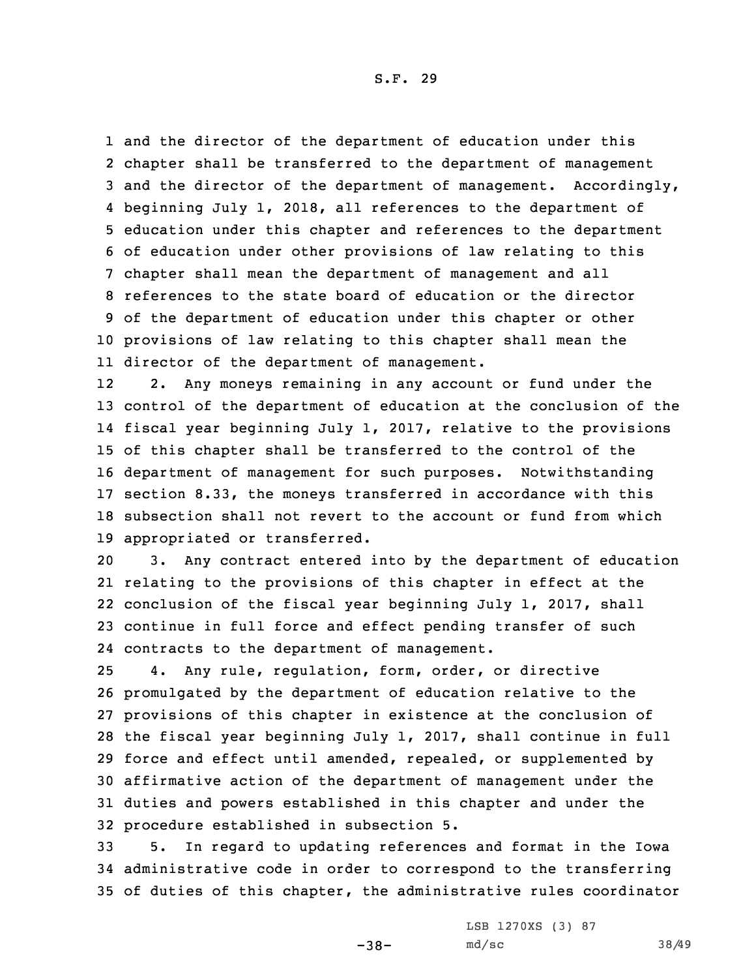and the director of the department of education under this chapter shall be transferred to the department of management and the director of the department of management. Accordingly, beginning July 1, 2018, all references to the department of education under this chapter and references to the department of education under other provisions of law relating to this chapter shall mean the department of management and all references to the state board of education or the director of the department of education under this chapter or other provisions of law relating to this chapter shall mean the director of the department of management.

12 2. Any moneys remaining in any account or fund under the control of the department of education at the conclusion of the fiscal year beginning July 1, 2017, relative to the provisions of this chapter shall be transferred to the control of the department of management for such purposes. Notwithstanding section 8.33, the moneys transferred in accordance with this subsection shall not revert to the account or fund from which appropriated or transferred.

 3. Any contract entered into by the department of education relating to the provisions of this chapter in effect at the conclusion of the fiscal year beginning July 1, 2017, shall continue in full force and effect pending transfer of such contracts to the department of management.

 4. Any rule, regulation, form, order, or directive promulgated by the department of education relative to the provisions of this chapter in existence at the conclusion of the fiscal year beginning July 1, 2017, shall continue in full force and effect until amended, repealed, or supplemented by affirmative action of the department of management under the duties and powers established in this chapter and under the procedure established in subsection 5.

33 5. In regard to updating references and format in the Iowa 34 administrative code in order to correspond to the transferring 35 of duties of this chapter, the administrative rules coordinator

-38-

LSB 1270XS (3) 87 md/sc 38/49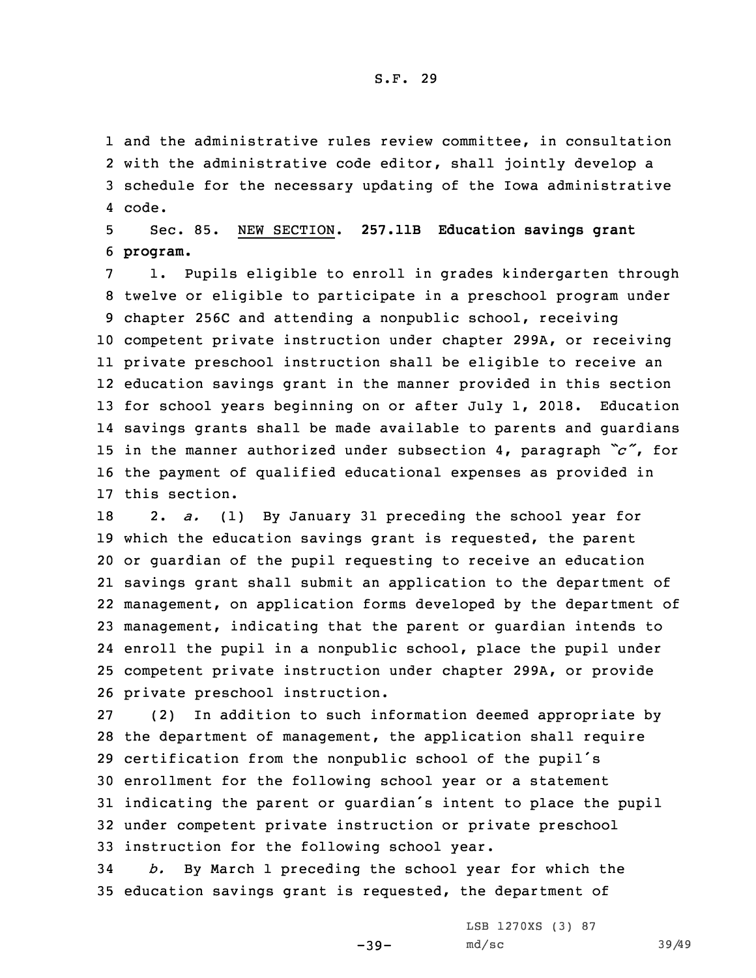and the administrative rules review committee, in consultation with the administrative code editor, shall jointly develop <sup>a</sup> schedule for the necessary updating of the Iowa administrative 4 code.

5 Sec. 85. NEW SECTION. **257.11B Education savings grant** 6 **program.**

 1. Pupils eligible to enroll in grades kindergarten through twelve or eligible to participate in <sup>a</sup> preschool program under chapter 256C and attending <sup>a</sup> nonpublic school, receiving competent private instruction under chapter 299A, or receiving private preschool instruction shall be eligible to receive an education savings grant in the manner provided in this section for school years beginning on or after July 1, 2018. Education savings grants shall be made available to parents and guardians in the manner authorized under subsection 4, paragraph *"c"*, for the payment of qualified educational expenses as provided in this section.

 2. *a.* (1) By January 31 preceding the school year for which the education savings grant is requested, the parent or guardian of the pupil requesting to receive an education savings grant shall submit an application to the department of management, on application forms developed by the department of management, indicating that the parent or guardian intends to enroll the pupil in <sup>a</sup> nonpublic school, place the pupil under competent private instruction under chapter 299A, or provide private preschool instruction.

 (2) In addition to such information deemed appropriate by the department of management, the application shall require certification from the nonpublic school of the pupil's enrollment for the following school year or <sup>a</sup> statement indicating the parent or guardian's intent to place the pupil under competent private instruction or private preschool instruction for the following school year.

34 *b.* By March 1 preceding the school year for which the 35 education savings grant is requested, the department of

 $-39-$ 

LSB 1270XS (3) 87 md/sc 39/49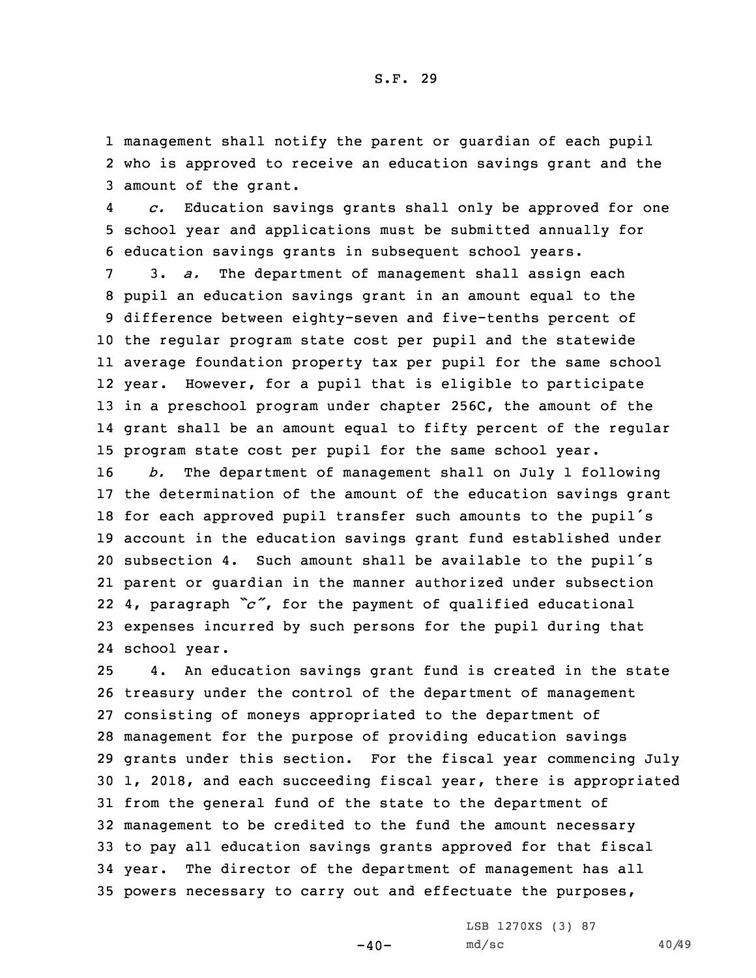1 management shall notify the parent or guardian of each pupil 2 who is approved to receive an education savings grant and the 3 amount of the grant.

4 *c.* Education savings grants shall only be approved for one 5 school year and applications must be submitted annually for 6 education savings grants in subsequent school years.

 3. *a.* The department of management shall assign each pupil an education savings grant in an amount equal to the difference between eighty-seven and five-tenths percent of the regular program state cost per pupil and the statewide average foundation property tax per pupil for the same school year. However, for <sup>a</sup> pupil that is eligible to participate in <sup>a</sup> preschool program under chapter 256C, the amount of the grant shall be an amount equal to fifty percent of the regular program state cost per pupil for the same school year.

 *b.* The department of management shall on July 1 following the determination of the amount of the education savings grant for each approved pupil transfer such amounts to the pupil's account in the education savings grant fund established under subsection 4. Such amount shall be available to the pupil's parent or guardian in the manner authorized under subsection 4, paragraph *"c"*, for the payment of qualified educational expenses incurred by such persons for the pupil during that school year.

 4. An education savings grant fund is created in the state treasury under the control of the department of management consisting of moneys appropriated to the department of management for the purpose of providing education savings grants under this section. For the fiscal year commencing July 1, 2018, and each succeeding fiscal year, there is appropriated from the general fund of the state to the department of management to be credited to the fund the amount necessary to pay all education savings grants approved for that fiscal year. The director of the department of management has all powers necessary to carry out and effectuate the purposes,

 $-40-$ 

LSB 1270XS (3) 87 md/sc 40/49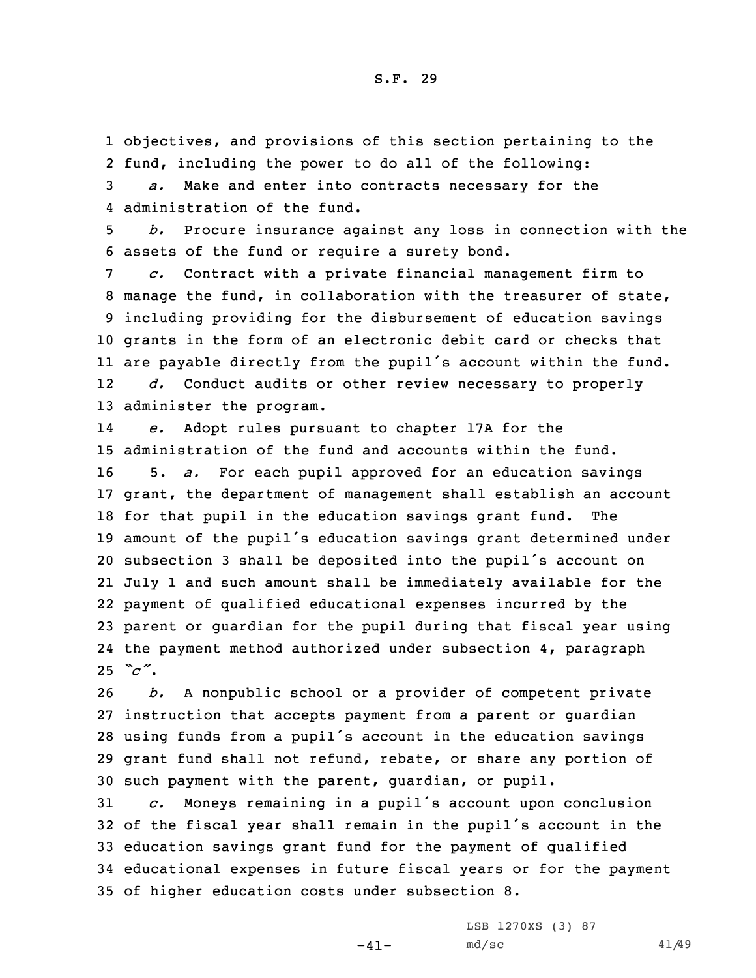1 objectives, and provisions of this section pertaining to the 2 fund, including the power to do all of the following: 3 *a.* Make and enter into contracts necessary for the

4 administration of the fund.

5 *b.* Procure insurance against any loss in connection with the 6 assets of the fund or require <sup>a</sup> surety bond.

 *c.* Contract with <sup>a</sup> private financial management firm to manage the fund, in collaboration with the treasurer of state, including providing for the disbursement of education savings grants in the form of an electronic debit card or checks that are payable directly from the pupil's account within the fund. 12 *d.* Conduct audits or other review necessary to properly administer the program.

14 *e.* Adopt rules pursuant to chapter 17A for the administration of the fund and accounts within the fund. 5. *a.* For each pupil approved for an education savings grant, the department of management shall establish an account for that pupil in the education savings grant fund. The amount of the pupil's education savings grant determined under subsection <sup>3</sup> shall be deposited into the pupil's account on July 1 and such amount shall be immediately available for the payment of qualified educational expenses incurred by the parent or guardian for the pupil during that fiscal year using the payment method authorized under subsection 4, paragraph  $25 \text{ °C}$ .

 *b.* <sup>A</sup> nonpublic school or <sup>a</sup> provider of competent private instruction that accepts payment from <sup>a</sup> parent or guardian using funds from <sup>a</sup> pupil's account in the education savings grant fund shall not refund, rebate, or share any portion of such payment with the parent, guardian, or pupil.

 *c.* Moneys remaining in <sup>a</sup> pupil's account upon conclusion of the fiscal year shall remain in the pupil's account in the education savings grant fund for the payment of qualified educational expenses in future fiscal years or for the payment of higher education costs under subsection 8.

 $-41-$ 

LSB 1270XS (3) 87 md/sc 41/49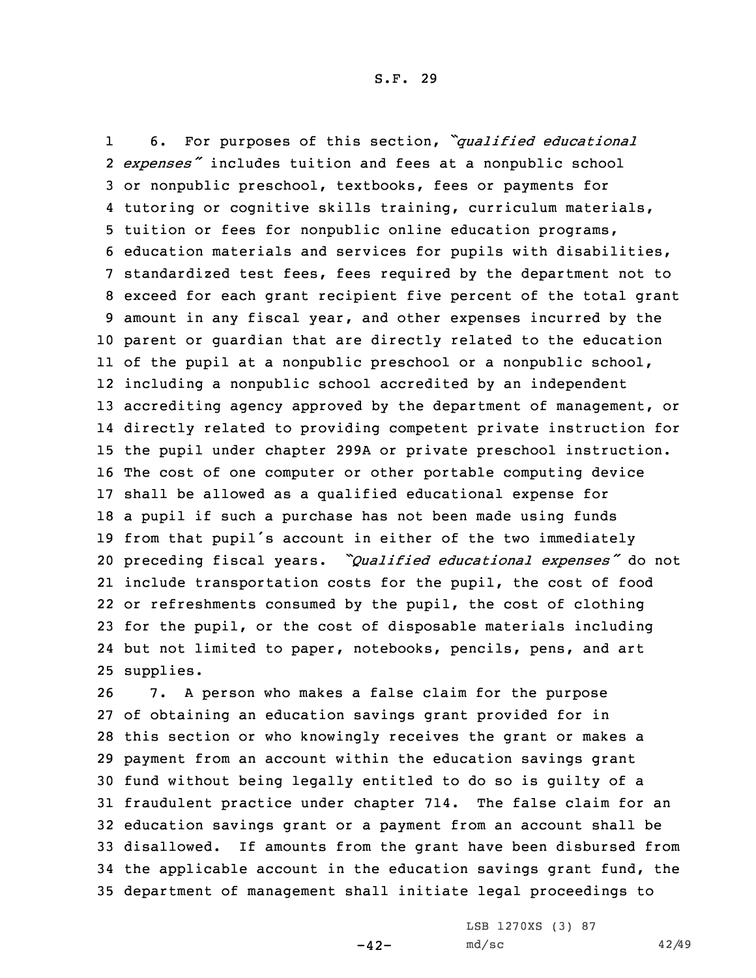1 6. For purposes of this section, *"qualified educational expenses"* includes tuition and fees at <sup>a</sup> nonpublic school or nonpublic preschool, textbooks, fees or payments for tutoring or cognitive skills training, curriculum materials, tuition or fees for nonpublic online education programs, education materials and services for pupils with disabilities, standardized test fees, fees required by the department not to exceed for each grant recipient five percent of the total grant amount in any fiscal year, and other expenses incurred by the parent or guardian that are directly related to the education of the pupil at <sup>a</sup> nonpublic preschool or <sup>a</sup> nonpublic school, including <sup>a</sup> nonpublic school accredited by an independent accrediting agency approved by the department of management, or directly related to providing competent private instruction for the pupil under chapter 299A or private preschool instruction. The cost of one computer or other portable computing device shall be allowed as <sup>a</sup> qualified educational expense for <sup>a</sup> pupil if such <sup>a</sup> purchase has not been made using funds from that pupil's account in either of the two immediately preceding fiscal years. *"Qualified educational expenses"* do not include transportation costs for the pupil, the cost of food or refreshments consumed by the pupil, the cost of clothing for the pupil, or the cost of disposable materials including but not limited to paper, notebooks, pencils, pens, and art supplies.

 7. <sup>A</sup> person who makes <sup>a</sup> false claim for the purpose of obtaining an education savings grant provided for in this section or who knowingly receives the grant or makes <sup>a</sup> payment from an account within the education savings grant fund without being legally entitled to do so is guilty of <sup>a</sup> fraudulent practice under chapter 714. The false claim for an education savings grant or <sup>a</sup> payment from an account shall be disallowed. If amounts from the grant have been disbursed from the applicable account in the education savings grant fund, the department of management shall initiate legal proceedings to

 $-42-$ 

LSB 1270XS (3) 87 md/sc 42/49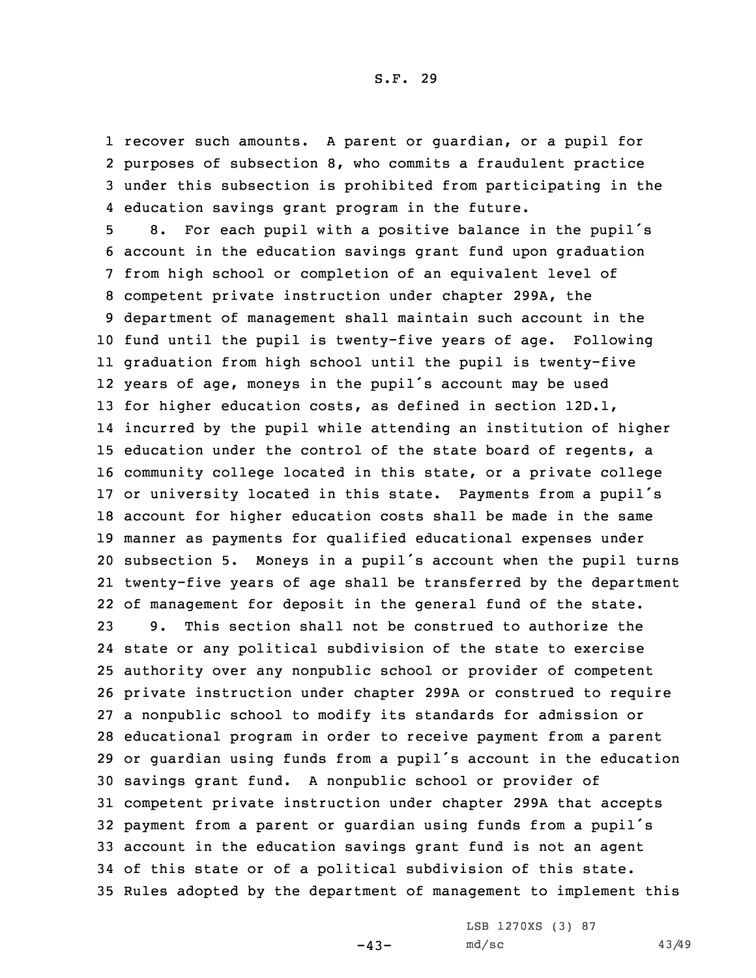recover such amounts. <sup>A</sup> parent or guardian, or <sup>a</sup> pupil for purposes of subsection 8, who commits <sup>a</sup> fraudulent practice under this subsection is prohibited from participating in the education savings grant program in the future.

 8. For each pupil with <sup>a</sup> positive balance in the pupil's account in the education savings grant fund upon graduation from high school or completion of an equivalent level of competent private instruction under chapter 299A, the department of management shall maintain such account in the fund until the pupil is twenty-five years of age. Following graduation from high school until the pupil is twenty-five years of age, moneys in the pupil's account may be used for higher education costs, as defined in section 12D.1, incurred by the pupil while attending an institution of higher education under the control of the state board of regents, <sup>a</sup> community college located in this state, or <sup>a</sup> private college or university located in this state. Payments from <sup>a</sup> pupil's account for higher education costs shall be made in the same manner as payments for qualified educational expenses under subsection 5. Moneys in <sup>a</sup> pupil's account when the pupil turns twenty-five years of age shall be transferred by the department of management for deposit in the general fund of the state.

 9. This section shall not be construed to authorize the state or any political subdivision of the state to exercise authority over any nonpublic school or provider of competent private instruction under chapter 299A or construed to require <sup>a</sup> nonpublic school to modify its standards for admission or educational program in order to receive payment from <sup>a</sup> parent or guardian using funds from <sup>a</sup> pupil's account in the education savings grant fund. <sup>A</sup> nonpublic school or provider of competent private instruction under chapter 299A that accepts payment from <sup>a</sup> parent or guardian using funds from <sup>a</sup> pupil's account in the education savings grant fund is not an agent of this state or of <sup>a</sup> political subdivision of this state. Rules adopted by the department of management to implement this

 $-43-$ 

LSB 1270XS (3) 87 md/sc 43/49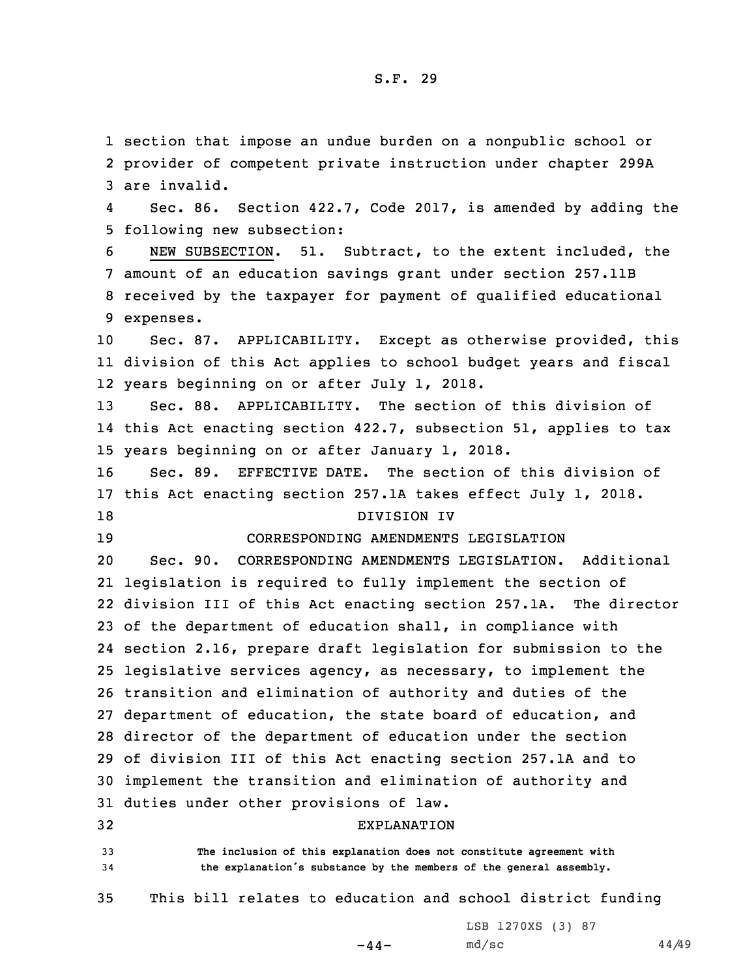1 section that impose an undue burden on <sup>a</sup> nonpublic school or 2 provider of competent private instruction under chapter 299A 3 are invalid.

4 Sec. 86. Section 422.7, Code 2017, is amended by adding the 5 following new subsection:

 NEW SUBSECTION. 51. Subtract, to the extent included, the amount of an education savings grant under section 257.11B received by the taxpayer for payment of qualified educational expenses.

10 Sec. 87. APPLICABILITY. Except as otherwise provided, this 11 division of this Act applies to school budget years and fiscal 12 years beginning on or after July 1, 2018.

13 Sec. 88. APPLICABILITY. The section of this division of 14 this Act enacting section 422.7, subsection 51, applies to tax 15 years beginning on or after January 1, 2018.

16 Sec. 89. EFFECTIVE DATE. The section of this division of 17 this Act enacting section 257.1A takes effect July 1, 2018. 18 DIVISION IV

#### 19 CORRESPONDING AMENDMENTS LEGISLATION

 Sec. 90. CORRESPONDING AMENDMENTS LEGISLATION. Additional legislation is required to fully implement the section of division III of this Act enacting section 257.1A. The director of the department of education shall, in compliance with section 2.16, prepare draft legislation for submission to the legislative services agency, as necessary, to implement the transition and elimination of authority and duties of the department of education, the state board of education, and director of the department of education under the section of division III of this Act enacting section 257.1A and to implement the transition and elimination of authority and duties under other provisions of law.

## 32 EXPLANATION

33 **The inclusion of this explanation does not constitute agreement with** <sup>34</sup> **the explanation's substance by the members of the general assembly.**

35 This bill relates to education and school district funding

 $-44-$ 

LSB 1270XS (3) 87 md/sc 44/49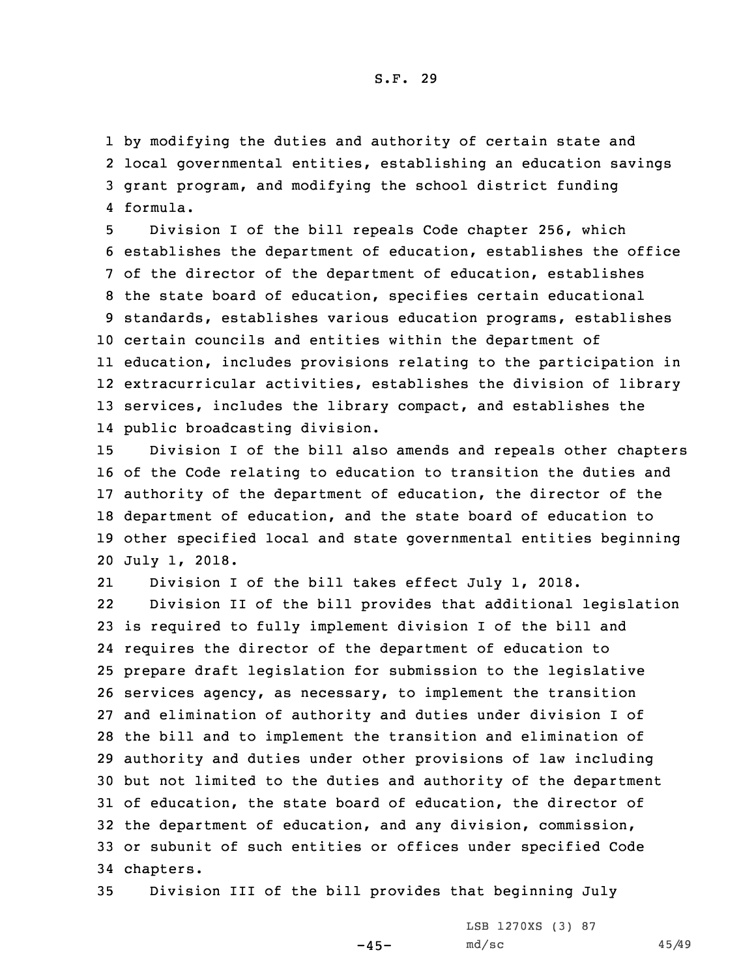by modifying the duties and authority of certain state and local governmental entities, establishing an education savings grant program, and modifying the school district funding 4 formula.

 Division <sup>I</sup> of the bill repeals Code chapter 256, which establishes the department of education, establishes the office of the director of the department of education, establishes the state board of education, specifies certain educational standards, establishes various education programs, establishes certain councils and entities within the department of education, includes provisions relating to the participation in extracurricular activities, establishes the division of library services, includes the library compact, and establishes the public broadcasting division.

 Division <sup>I</sup> of the bill also amends and repeals other chapters of the Code relating to education to transition the duties and authority of the department of education, the director of the department of education, and the state board of education to other specified local and state governmental entities beginning July 1, 2018.

21 Division <sup>I</sup> of the bill takes effect July 1, 2018. 22 Division II of the bill provides that additional legislation is required to fully implement division <sup>I</sup> of the bill and requires the director of the department of education to prepare draft legislation for submission to the legislative services agency, as necessary, to implement the transition and elimination of authority and duties under division <sup>I</sup> of the bill and to implement the transition and elimination of authority and duties under other provisions of law including but not limited to the duties and authority of the department of education, the state board of education, the director of the department of education, and any division, commission, or subunit of such entities or offices under specified Code chapters.

35 Division III of the bill provides that beginning July

LSB 1270XS (3) 87 md/sc 45/49

 $-45-$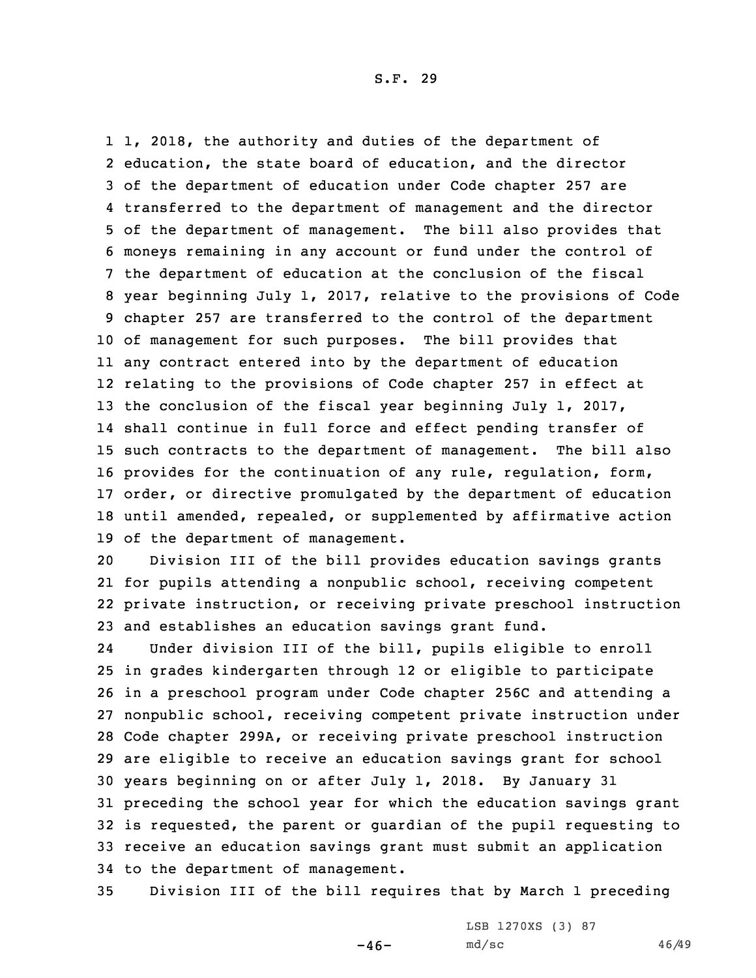1, 2018, the authority and duties of the department of education, the state board of education, and the director of the department of education under Code chapter 257 are transferred to the department of management and the director of the department of management. The bill also provides that moneys remaining in any account or fund under the control of the department of education at the conclusion of the fiscal year beginning July 1, 2017, relative to the provisions of Code chapter 257 are transferred to the control of the department of management for such purposes. The bill provides that any contract entered into by the department of education relating to the provisions of Code chapter 257 in effect at the conclusion of the fiscal year beginning July 1, 2017, shall continue in full force and effect pending transfer of such contracts to the department of management. The bill also provides for the continuation of any rule, regulation, form, order, or directive promulgated by the department of education until amended, repealed, or supplemented by affirmative action of the department of management.

 Division III of the bill provides education savings grants for pupils attending <sup>a</sup> nonpublic school, receiving competent private instruction, or receiving private preschool instruction and establishes an education savings grant fund.

24 Under division III of the bill, pupils eligible to enroll in grades kindergarten through 12 or eligible to participate in <sup>a</sup> preschool program under Code chapter 256C and attending <sup>a</sup> nonpublic school, receiving competent private instruction under Code chapter 299A, or receiving private preschool instruction are eligible to receive an education savings grant for school years beginning on or after July 1, 2018. By January 31 preceding the school year for which the education savings grant is requested, the parent or guardian of the pupil requesting to receive an education savings grant must submit an application to the department of management.

35 Division III of the bill requires that by March 1 preceding

 $-46-$ 

LSB 1270XS (3) 87 md/sc 46/49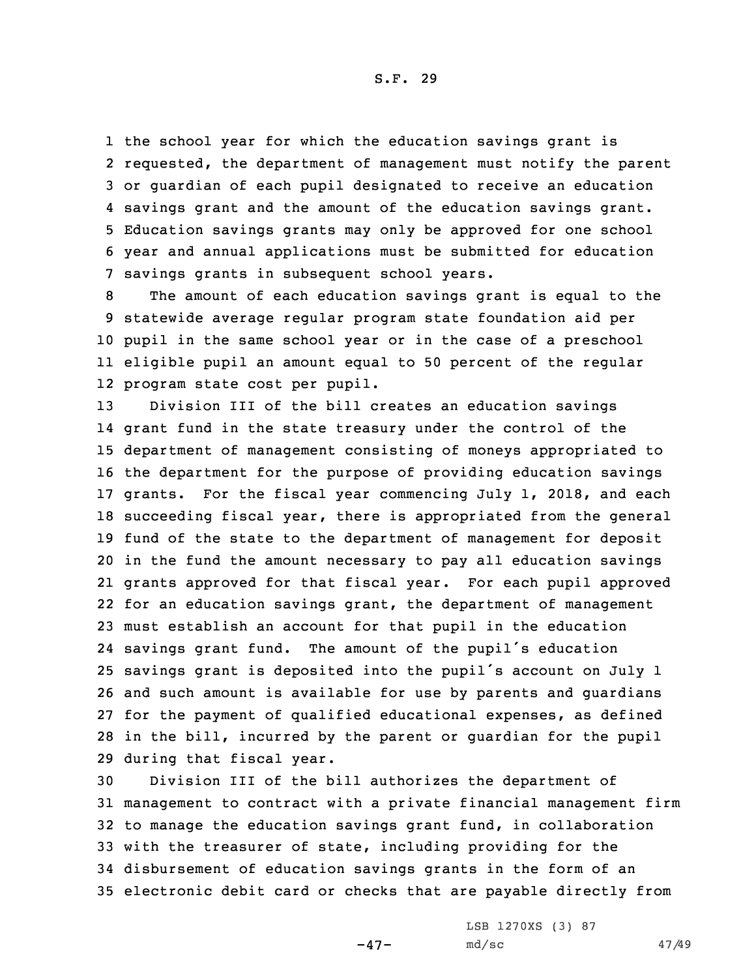the school year for which the education savings grant is requested, the department of management must notify the parent or guardian of each pupil designated to receive an education savings grant and the amount of the education savings grant. Education savings grants may only be approved for one school year and annual applications must be submitted for education savings grants in subsequent school years.

 The amount of each education savings grant is equal to the statewide average regular program state foundation aid per pupil in the same school year or in the case of <sup>a</sup> preschool eligible pupil an amount equal to 50 percent of the regular program state cost per pupil.

 Division III of the bill creates an education savings grant fund in the state treasury under the control of the department of management consisting of moneys appropriated to the department for the purpose of providing education savings grants. For the fiscal year commencing July 1, 2018, and each succeeding fiscal year, there is appropriated from the general fund of the state to the department of management for deposit in the fund the amount necessary to pay all education savings grants approved for that fiscal year. For each pupil approved for an education savings grant, the department of management must establish an account for that pupil in the education savings grant fund. The amount of the pupil's education savings grant is deposited into the pupil's account on July <sup>1</sup> and such amount is available for use by parents and guardians for the payment of qualified educational expenses, as defined in the bill, incurred by the parent or guardian for the pupil during that fiscal year.

 Division III of the bill authorizes the department of management to contract with <sup>a</sup> private financial management firm to manage the education savings grant fund, in collaboration with the treasurer of state, including providing for the disbursement of education savings grants in the form of an electronic debit card or checks that are payable directly from

 $-47-$ 

LSB 1270XS (3) 87 md/sc 47/49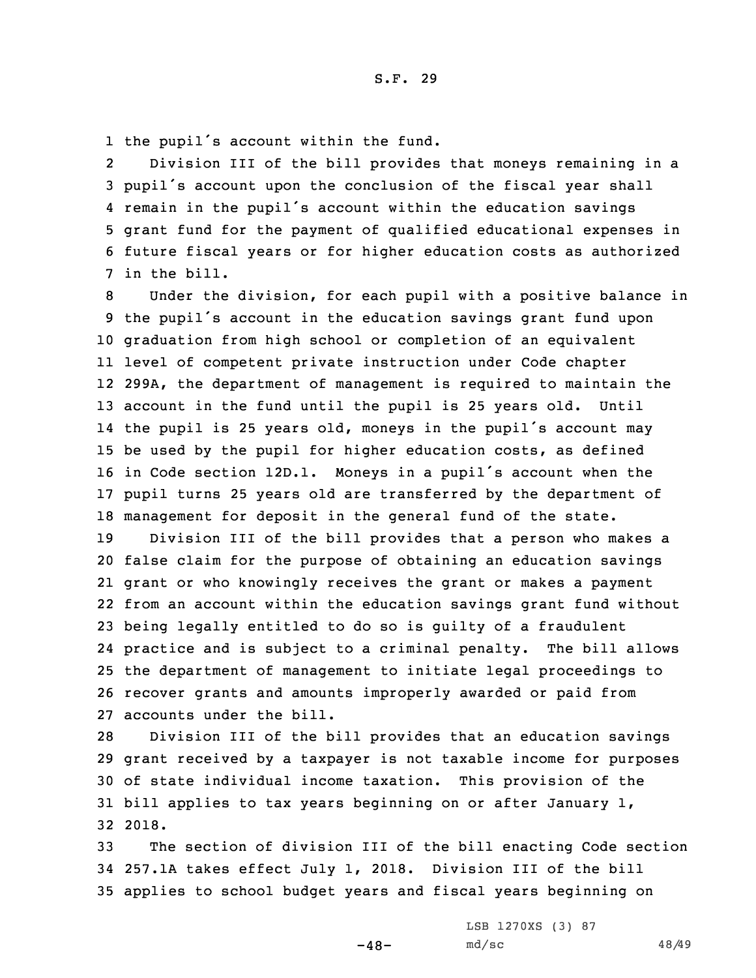1 the pupil's account within the fund.

2 Division III of the bill provides that moneys remaining in <sup>a</sup> pupil's account upon the conclusion of the fiscal year shall remain in the pupil's account within the education savings grant fund for the payment of qualified educational expenses in future fiscal years or for higher education costs as authorized in the bill.

 Under the division, for each pupil with <sup>a</sup> positive balance in the pupil's account in the education savings grant fund upon graduation from high school or completion of an equivalent level of competent private instruction under Code chapter 299A, the department of management is required to maintain the account in the fund until the pupil is 25 years old. Until the pupil is <sup>25</sup> years old, moneys in the pupil's account may be used by the pupil for higher education costs, as defined in Code section 12D.1. Moneys in <sup>a</sup> pupil's account when the pupil turns 25 years old are transferred by the department of management for deposit in the general fund of the state.

 Division III of the bill provides that <sup>a</sup> person who makes <sup>a</sup> false claim for the purpose of obtaining an education savings grant or who knowingly receives the grant or makes <sup>a</sup> payment from an account within the education savings grant fund without being legally entitled to do so is guilty of <sup>a</sup> fraudulent practice and is subject to <sup>a</sup> criminal penalty. The bill allows the department of management to initiate legal proceedings to recover grants and amounts improperly awarded or paid from accounts under the bill.

 Division III of the bill provides that an education savings grant received by <sup>a</sup> taxpayer is not taxable income for purposes of state individual income taxation. This provision of the bill applies to tax years beginning on or after January 1, 32 2018.

33 The section of division III of the bill enacting Code section 34 257.1A takes effect July 1, 2018. Division III of the bill 35 applies to school budget years and fiscal years beginning on

 $-48-$ 

LSB 1270XS (3) 87 md/sc 48/49